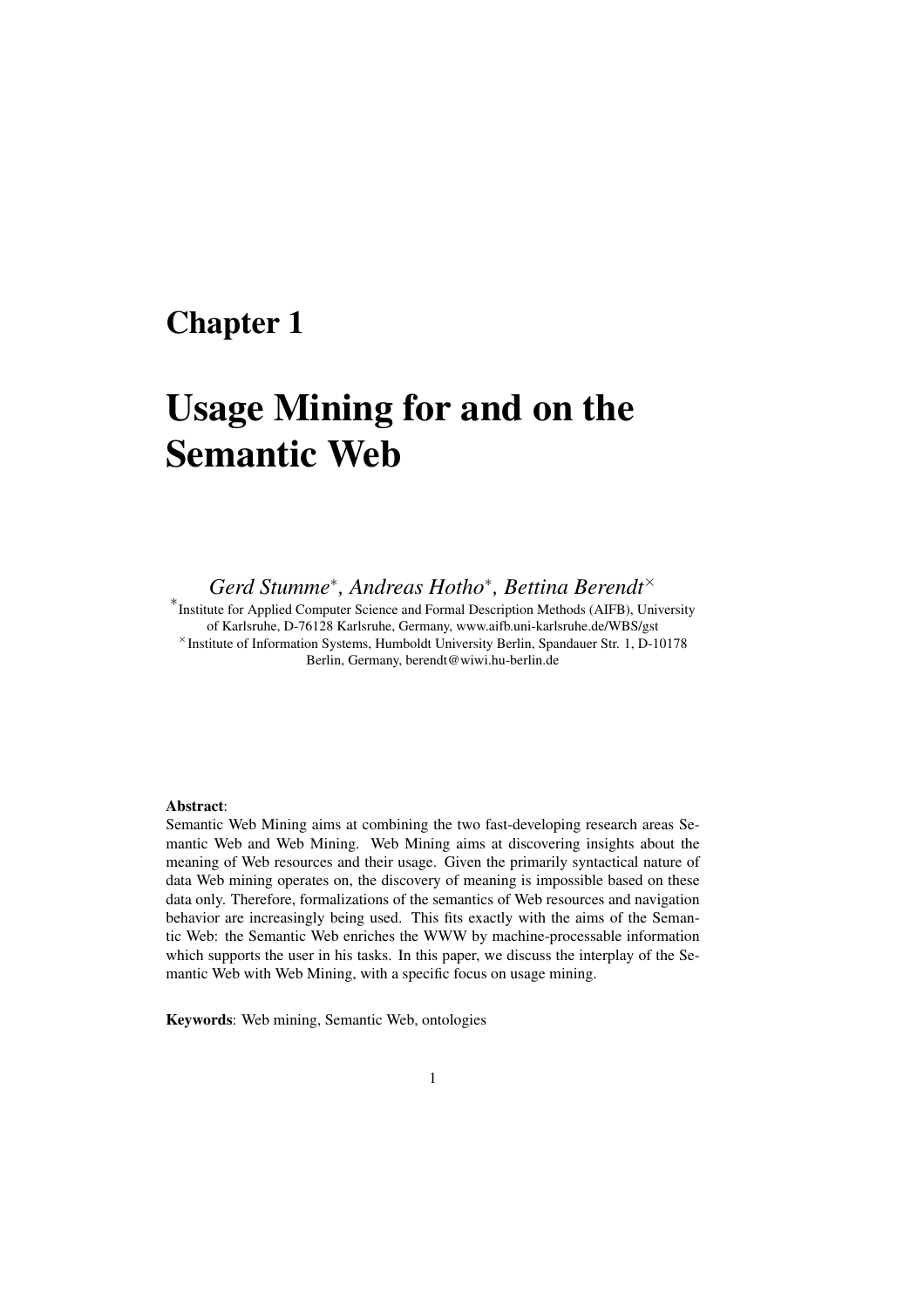# Chapter 1

# Usage Mining for and on the Semantic Web

*Gerd Stumme*<sup>∗</sup> *, Andreas Hotho*<sup>∗</sup> *, Bettina Berendt*<sup>×</sup>

∗ Institute for Applied Computer Science and Formal Description Methods (AIFB), University of Karlsruhe, D-76128 Karlsruhe, Germany, www.aifb.uni-karlsruhe.de/WBS/gst <sup>×</sup>Institute of Information Systems, Humboldt University Berlin, Spandauer Str. 1, D-10178 Berlin, Germany, berendt@wiwi.hu-berlin.de

## Abstract:

Semantic Web Mining aims at combining the two fast-developing research areas Semantic Web and Web Mining. Web Mining aims at discovering insights about the meaning of Web resources and their usage. Given the primarily syntactical nature of data Web mining operates on, the discovery of meaning is impossible based on these data only. Therefore, formalizations of the semantics of Web resources and navigation behavior are increasingly being used. This fits exactly with the aims of the Semantic Web: the Semantic Web enriches the WWW by machine-processable information which supports the user in his tasks. In this paper, we discuss the interplay of the Semantic Web with Web Mining, with a specific focus on usage mining.

Keywords: Web mining, Semantic Web, ontologies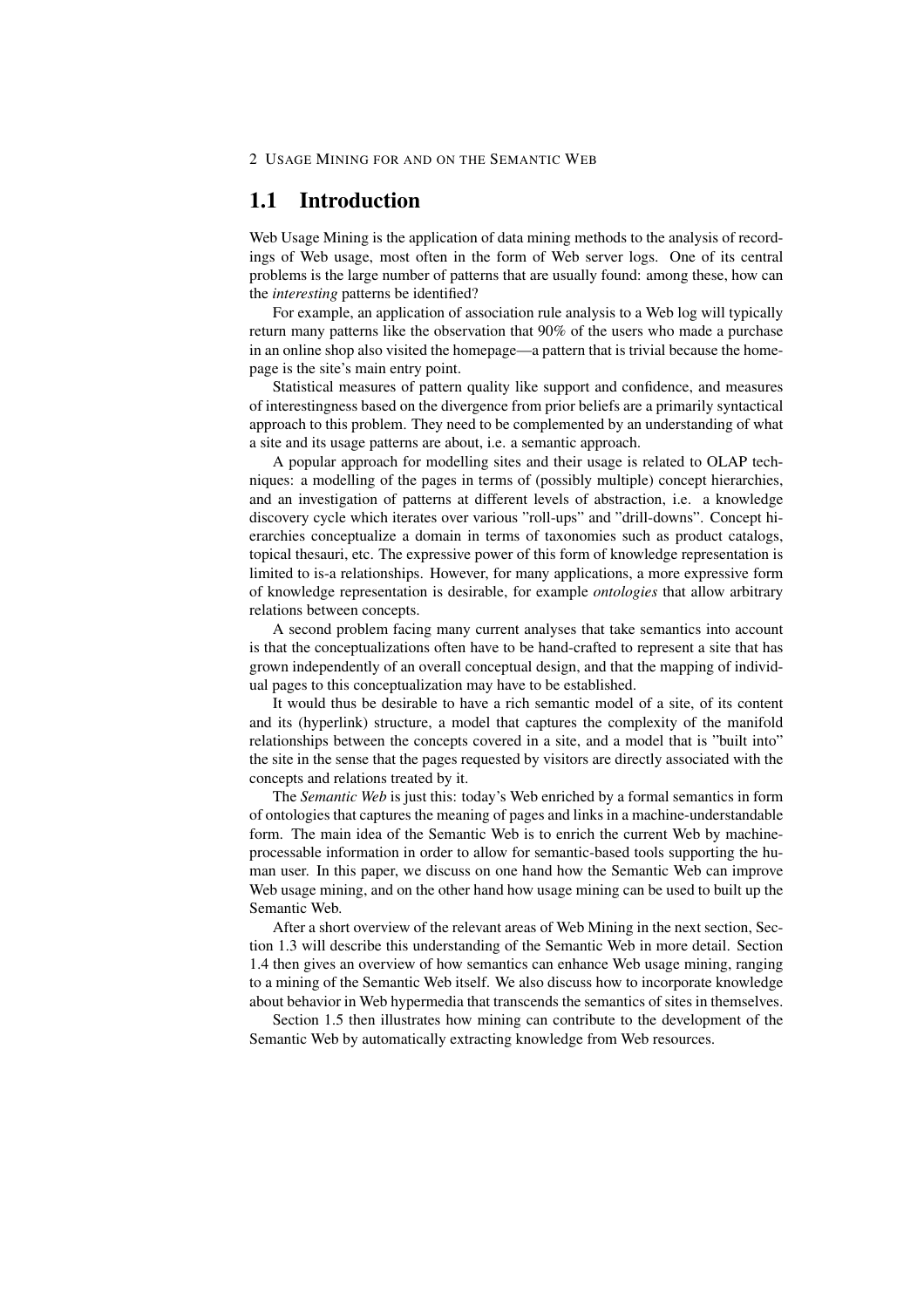# 1.1 Introduction

Web Usage Mining is the application of data mining methods to the analysis of recordings of Web usage, most often in the form of Web server logs. One of its central problems is the large number of patterns that are usually found: among these, how can the *interesting* patterns be identified?

For example, an application of association rule analysis to a Web log will typically return many patterns like the observation that 90% of the users who made a purchase in an online shop also visited the homepage—a pattern that is trivial because the homepage is the site's main entry point.

Statistical measures of pattern quality like support and confidence, and measures of interestingness based on the divergence from prior beliefs are a primarily syntactical approach to this problem. They need to be complemented by an understanding of what a site and its usage patterns are about, i.e. a semantic approach.

A popular approach for modelling sites and their usage is related to OLAP techniques: a modelling of the pages in terms of (possibly multiple) concept hierarchies, and an investigation of patterns at different levels of abstraction, i.e. a knowledge discovery cycle which iterates over various "roll-ups" and "drill-downs". Concept hierarchies conceptualize a domain in terms of taxonomies such as product catalogs, topical thesauri, etc. The expressive power of this form of knowledge representation is limited to is-a relationships. However, for many applications, a more expressive form of knowledge representation is desirable, for example *ontologies* that allow arbitrary relations between concepts.

A second problem facing many current analyses that take semantics into account is that the conceptualizations often have to be hand-crafted to represent a site that has grown independently of an overall conceptual design, and that the mapping of individual pages to this conceptualization may have to be established.

It would thus be desirable to have a rich semantic model of a site, of its content and its (hyperlink) structure, a model that captures the complexity of the manifold relationships between the concepts covered in a site, and a model that is "built into" the site in the sense that the pages requested by visitors are directly associated with the concepts and relations treated by it.

The *Semantic Web* is just this: today's Web enriched by a formal semantics in form of ontologies that captures the meaning of pages and links in a machine-understandable form. The main idea of the Semantic Web is to enrich the current Web by machineprocessable information in order to allow for semantic-based tools supporting the human user. In this paper, we discuss on one hand how the Semantic Web can improve Web usage mining, and on the other hand how usage mining can be used to built up the Semantic Web.

After a short overview of the relevant areas of Web Mining in the next section, Section 1.3 will describe this understanding of the Semantic Web in more detail. Section 1.4 then gives an overview of how semantics can enhance Web usage mining, ranging to a mining of the Semantic Web itself. We also discuss how to incorporate knowledge about behavior in Web hypermedia that transcends the semantics of sites in themselves.

Section 1.5 then illustrates how mining can contribute to the development of the Semantic Web by automatically extracting knowledge from Web resources.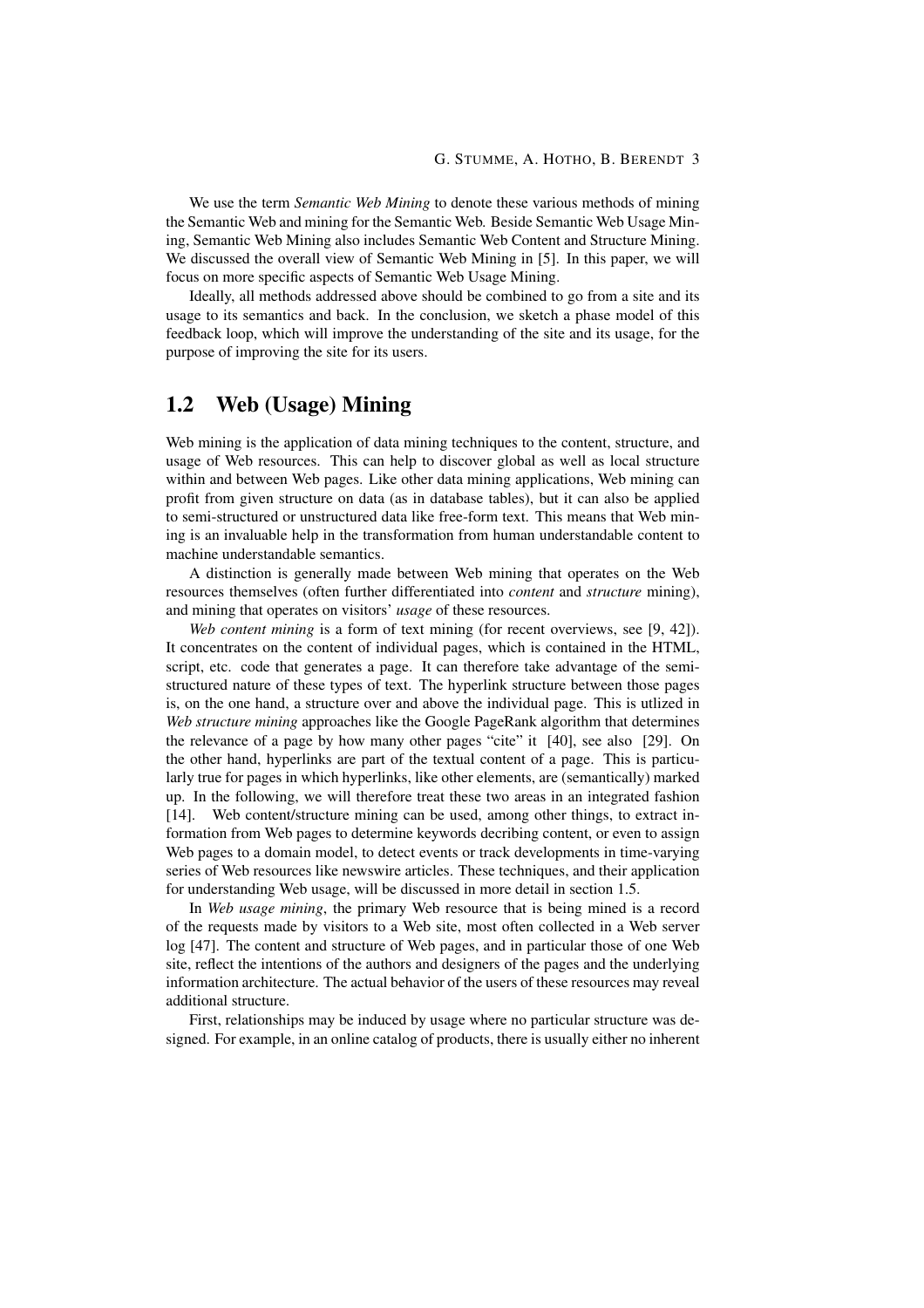We use the term *Semantic Web Mining* to denote these various methods of mining the Semantic Web and mining for the Semantic Web. Beside Semantic Web Usage Mining, Semantic Web Mining also includes Semantic Web Content and Structure Mining. We discussed the overall view of Semantic Web Mining in [5]. In this paper, we will focus on more specific aspects of Semantic Web Usage Mining.

Ideally, all methods addressed above should be combined to go from a site and its usage to its semantics and back. In the conclusion, we sketch a phase model of this feedback loop, which will improve the understanding of the site and its usage, for the purpose of improving the site for its users.

## 1.2 Web (Usage) Mining

Web mining is the application of data mining techniques to the content, structure, and usage of Web resources. This can help to discover global as well as local structure within and between Web pages. Like other data mining applications, Web mining can profit from given structure on data (as in database tables), but it can also be applied to semi-structured or unstructured data like free-form text. This means that Web mining is an invaluable help in the transformation from human understandable content to machine understandable semantics.

A distinction is generally made between Web mining that operates on the Web resources themselves (often further differentiated into *content* and *structure* mining), and mining that operates on visitors' *usage* of these resources.

*Web content mining* is a form of text mining (for recent overviews, see [9, 42]). It concentrates on the content of individual pages, which is contained in the HTML, script, etc. code that generates a page. It can therefore take advantage of the semistructured nature of these types of text. The hyperlink structure between those pages is, on the one hand, a structure over and above the individual page. This is utlized in *Web structure mining* approaches like the Google PageRank algorithm that determines the relevance of a page by how many other pages "cite" it [40], see also [29]. On the other hand, hyperlinks are part of the textual content of a page. This is particularly true for pages in which hyperlinks, like other elements, are (semantically) marked up. In the following, we will therefore treat these two areas in an integrated fashion [14]. Web content/structure mining can be used, among other things, to extract information from Web pages to determine keywords decribing content, or even to assign Web pages to a domain model, to detect events or track developments in time-varying series of Web resources like newswire articles. These techniques, and their application for understanding Web usage, will be discussed in more detail in section 1.5.

In *Web usage mining*, the primary Web resource that is being mined is a record of the requests made by visitors to a Web site, most often collected in a Web server log [47]. The content and structure of Web pages, and in particular those of one Web site, reflect the intentions of the authors and designers of the pages and the underlying information architecture. The actual behavior of the users of these resources may reveal additional structure.

First, relationships may be induced by usage where no particular structure was designed. For example, in an online catalog of products, there is usually either no inherent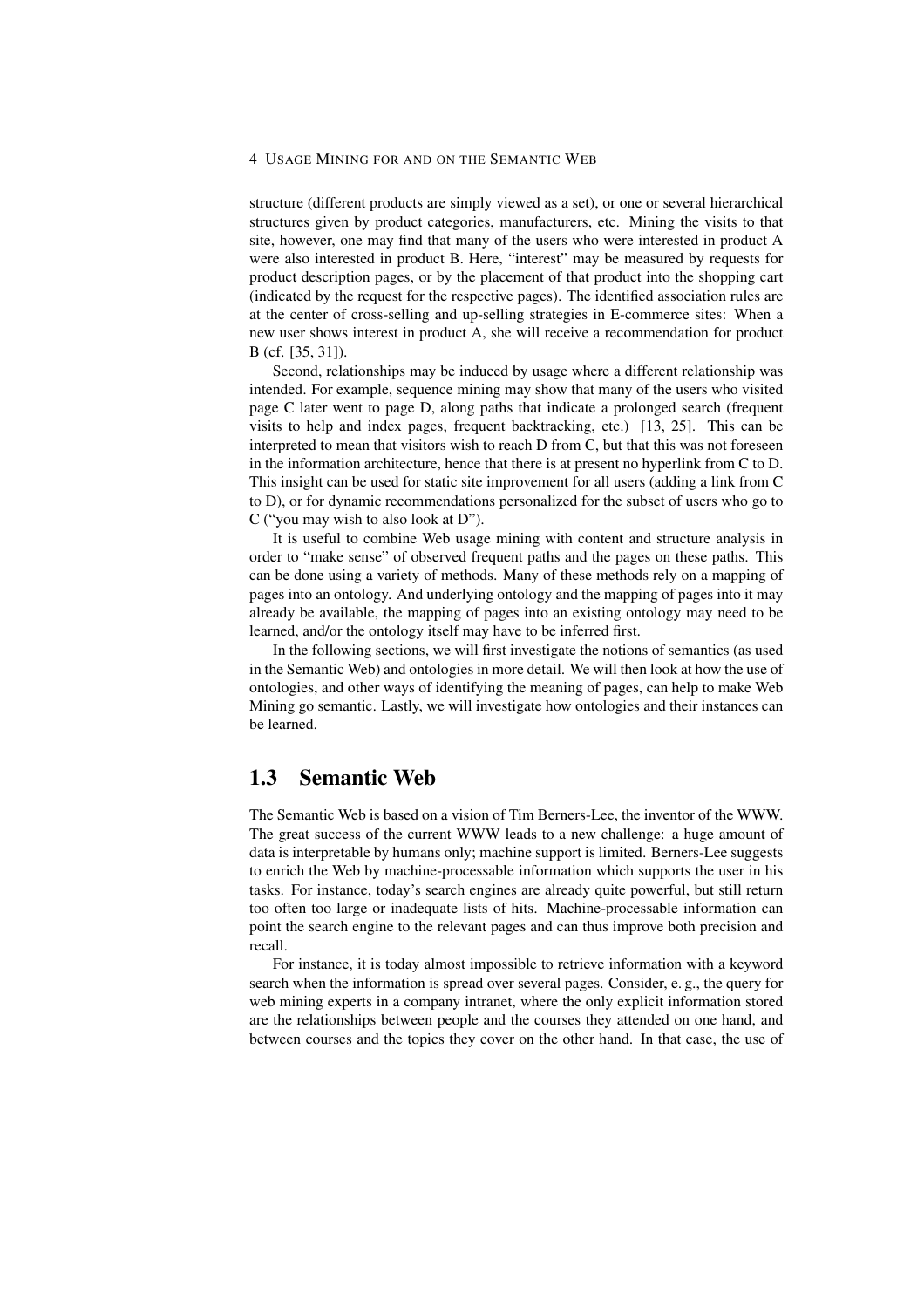structure (different products are simply viewed as a set), or one or several hierarchical structures given by product categories, manufacturers, etc. Mining the visits to that site, however, one may find that many of the users who were interested in product A were also interested in product B. Here, "interest" may be measured by requests for product description pages, or by the placement of that product into the shopping cart (indicated by the request for the respective pages). The identified association rules are at the center of cross-selling and up-selling strategies in E-commerce sites: When a new user shows interest in product A, she will receive a recommendation for product B (cf. [35, 31]).

Second, relationships may be induced by usage where a different relationship was intended. For example, sequence mining may show that many of the users who visited page C later went to page D, along paths that indicate a prolonged search (frequent visits to help and index pages, frequent backtracking, etc.) [13, 25]. This can be interpreted to mean that visitors wish to reach D from C, but that this was not foreseen in the information architecture, hence that there is at present no hyperlink from C to D. This insight can be used for static site improvement for all users (adding a link from C to D), or for dynamic recommendations personalized for the subset of users who go to C ("you may wish to also look at D").

It is useful to combine Web usage mining with content and structure analysis in order to "make sense" of observed frequent paths and the pages on these paths. This can be done using a variety of methods. Many of these methods rely on a mapping of pages into an ontology. And underlying ontology and the mapping of pages into it may already be available, the mapping of pages into an existing ontology may need to be learned, and/or the ontology itself may have to be inferred first.

In the following sections, we will first investigate the notions of semantics (as used in the Semantic Web) and ontologies in more detail. We will then look at how the use of ontologies, and other ways of identifying the meaning of pages, can help to make Web Mining go semantic. Lastly, we will investigate how ontologies and their instances can be learned.

# 1.3 Semantic Web

The Semantic Web is based on a vision of Tim Berners-Lee, the inventor of the WWW. The great success of the current WWW leads to a new challenge: a huge amount of data is interpretable by humans only; machine support is limited. Berners-Lee suggests to enrich the Web by machine-processable information which supports the user in his tasks. For instance, today's search engines are already quite powerful, but still return too often too large or inadequate lists of hits. Machine-processable information can point the search engine to the relevant pages and can thus improve both precision and recall.

For instance, it is today almost impossible to retrieve information with a keyword search when the information is spread over several pages. Consider, e. g., the query for web mining experts in a company intranet, where the only explicit information stored are the relationships between people and the courses they attended on one hand, and between courses and the topics they cover on the other hand. In that case, the use of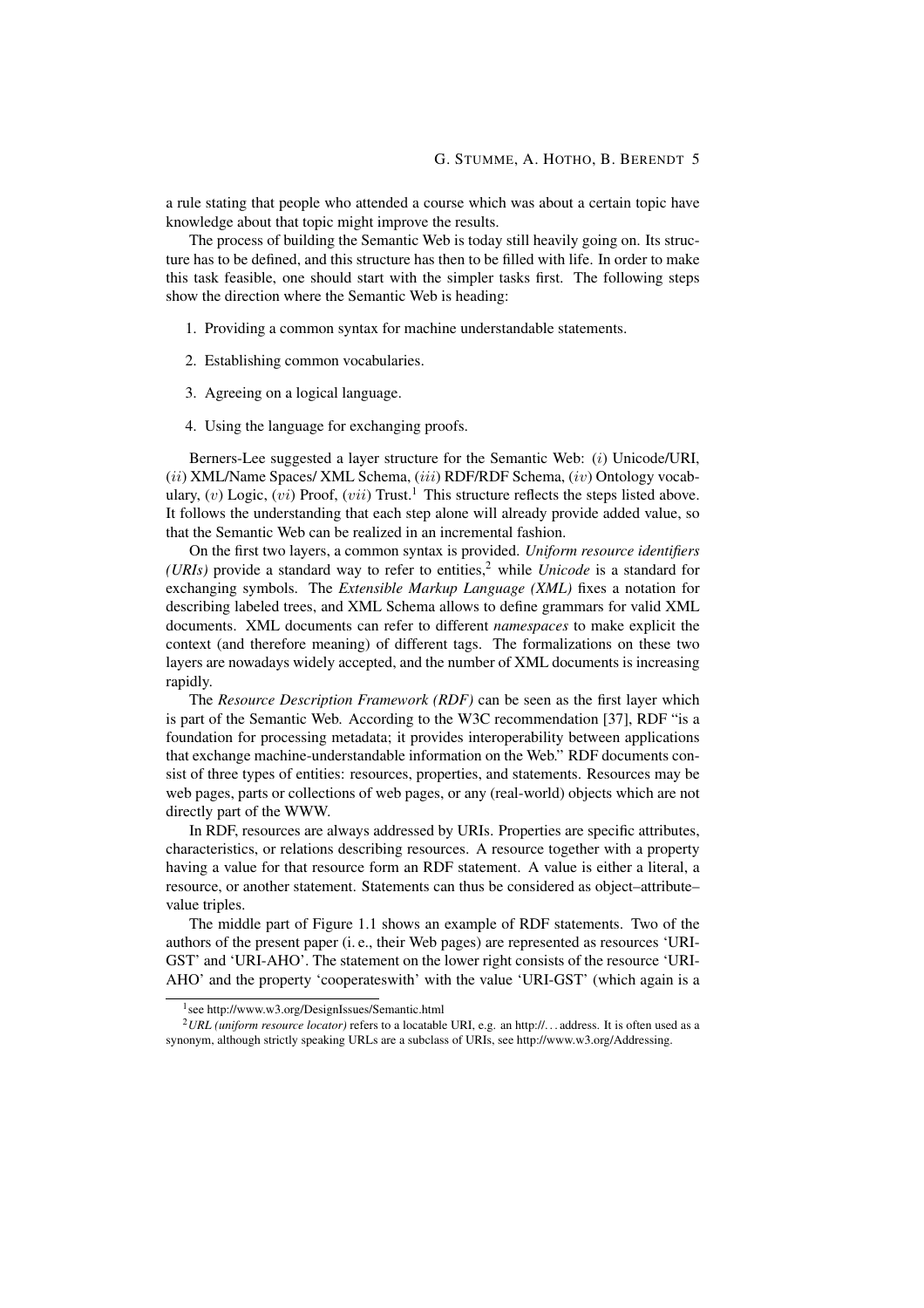a rule stating that people who attended a course which was about a certain topic have knowledge about that topic might improve the results.

The process of building the Semantic Web is today still heavily going on. Its structure has to be defined, and this structure has then to be filled with life. In order to make this task feasible, one should start with the simpler tasks first. The following steps show the direction where the Semantic Web is heading:

- 1. Providing a common syntax for machine understandable statements.
- 2. Establishing common vocabularies.
- 3. Agreeing on a logical language.
- 4. Using the language for exchanging proofs.

Berners-Lee suggested a layer structure for the Semantic Web: (i) Unicode/URI, (ii) XML/Name Spaces/ XML Schema, (iii) RDF/RDF Schema, (iv) Ontology vocabulary,  $(v)$  Logic,  $(vi)$  Proof,  $(vii)$  Trust.<sup>1</sup> This structure reflects the steps listed above. It follows the understanding that each step alone will already provide added value, so that the Semantic Web can be realized in an incremental fashion.

On the first two layers, a common syntax is provided. *Uniform resource identifiers (URIs)* provide a standard way to refer to entities,<sup>2</sup> while *Unicode* is a standard for exchanging symbols. The *Extensible Markup Language (XML)* fixes a notation for describing labeled trees, and XML Schema allows to define grammars for valid XML documents. XML documents can refer to different *namespaces* to make explicit the context (and therefore meaning) of different tags. The formalizations on these two layers are nowadays widely accepted, and the number of XML documents is increasing rapidly.

The *Resource Description Framework (RDF)* can be seen as the first layer which is part of the Semantic Web. According to the W3C recommendation [37], RDF "is a foundation for processing metadata; it provides interoperability between applications that exchange machine-understandable information on the Web." RDF documents consist of three types of entities: resources, properties, and statements. Resources may be web pages, parts or collections of web pages, or any (real-world) objects which are not directly part of the WWW.

In RDF, resources are always addressed by URIs. Properties are specific attributes, characteristics, or relations describing resources. A resource together with a property having a value for that resource form an RDF statement. A value is either a literal, a resource, or another statement. Statements can thus be considered as object–attribute– value triples.

The middle part of Figure 1.1 shows an example of RDF statements. Two of the authors of the present paper (i. e., their Web pages) are represented as resources 'URI-GST' and 'URI-AHO'. The statement on the lower right consists of the resource 'URI-AHO' and the property 'cooperateswith' with the value 'URI-GST' (which again is a

<sup>1</sup> see http://www.w3.org/DesignIssues/Semantic.html

<sup>2</sup>*URL (uniform resource locator)* refers to a locatable URI, e.g. an http://. . . address. It is often used as a synonym, although strictly speaking URLs are a subclass of URIs, see http://www.w3.org/Addressing.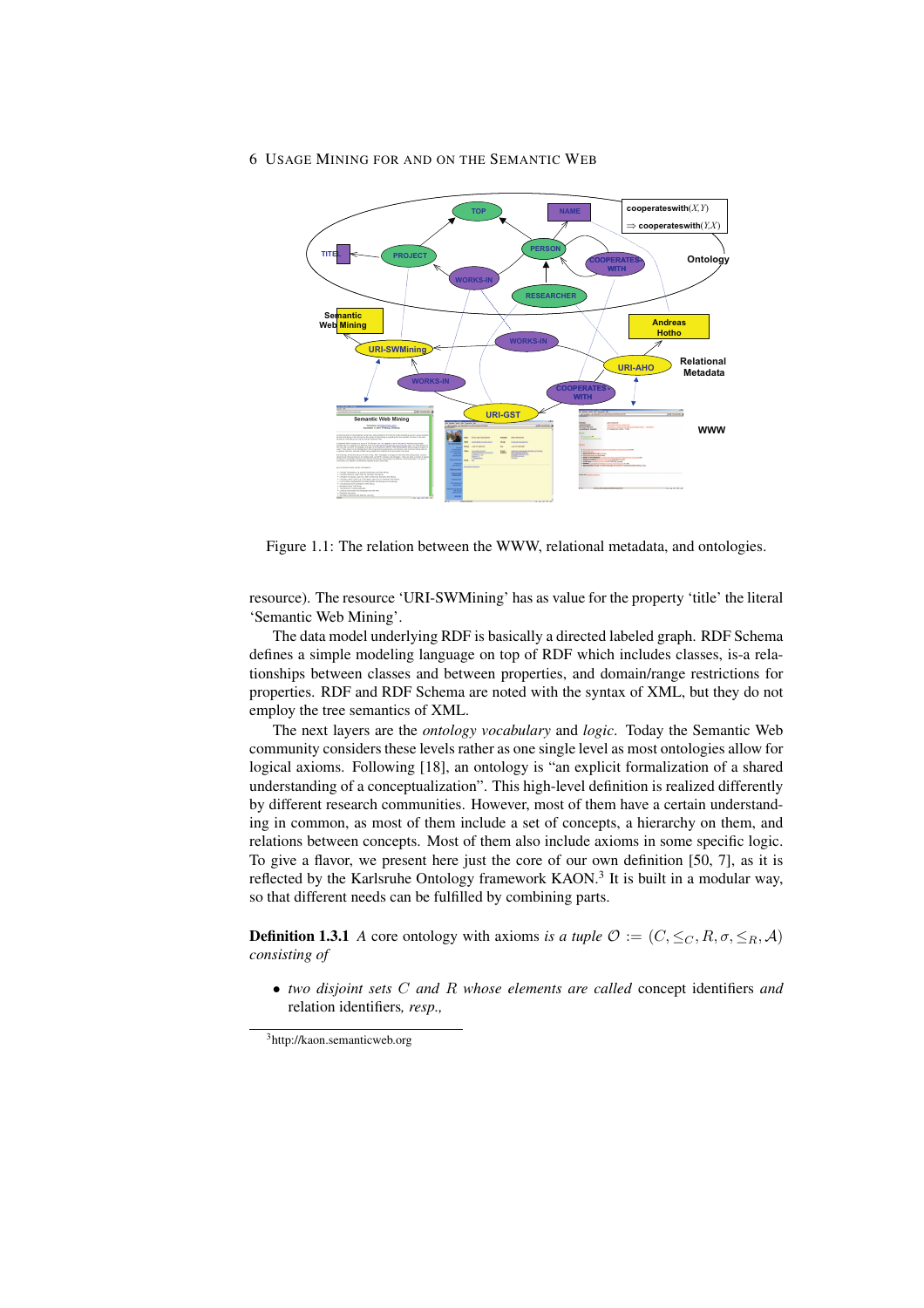

Figure 1.1: The relation between the WWW, relational metadata, and ontologies.

resource). The resource 'URI-SWMining' has as value for the property 'title' the literal 'Semantic Web Mining'.

The data model underlying RDF is basically a directed labeled graph. RDF Schema defines a simple modeling language on top of RDF which includes classes, is-a relationships between classes and between properties, and domain/range restrictions for properties. RDF and RDF Schema are noted with the syntax of XML, but they do not employ the tree semantics of XML.

The next layers are the *ontology vocabulary* and *logic*. Today the Semantic Web community considers these levels rather as one single level as most ontologies allow for logical axioms. Following [18], an ontology is "an explicit formalization of a shared understanding of a conceptualization". This high-level definition is realized differently by different research communities. However, most of them have a certain understanding in common, as most of them include a set of concepts, a hierarchy on them, and relations between concepts. Most of them also include axioms in some specific logic. To give a flavor, we present here just the core of our own definition [50, 7], as it is reflected by the Karlsruhe Ontology framework KAON.<sup>3</sup> It is built in a modular way, so that different needs can be fulfilled by combining parts.

**Definition 1.3.1** *A* core ontology with axioms *is a tuple*  $\mathcal{O} := (C, \leq_C, R, \sigma, \leq_R, \mathcal{A})$ *consisting of*

• *two disjoint sets* C *and* R *whose elements are called* concept identifiers *and* relation identifiers*, resp.,*

<sup>3</sup>http://kaon.semanticweb.org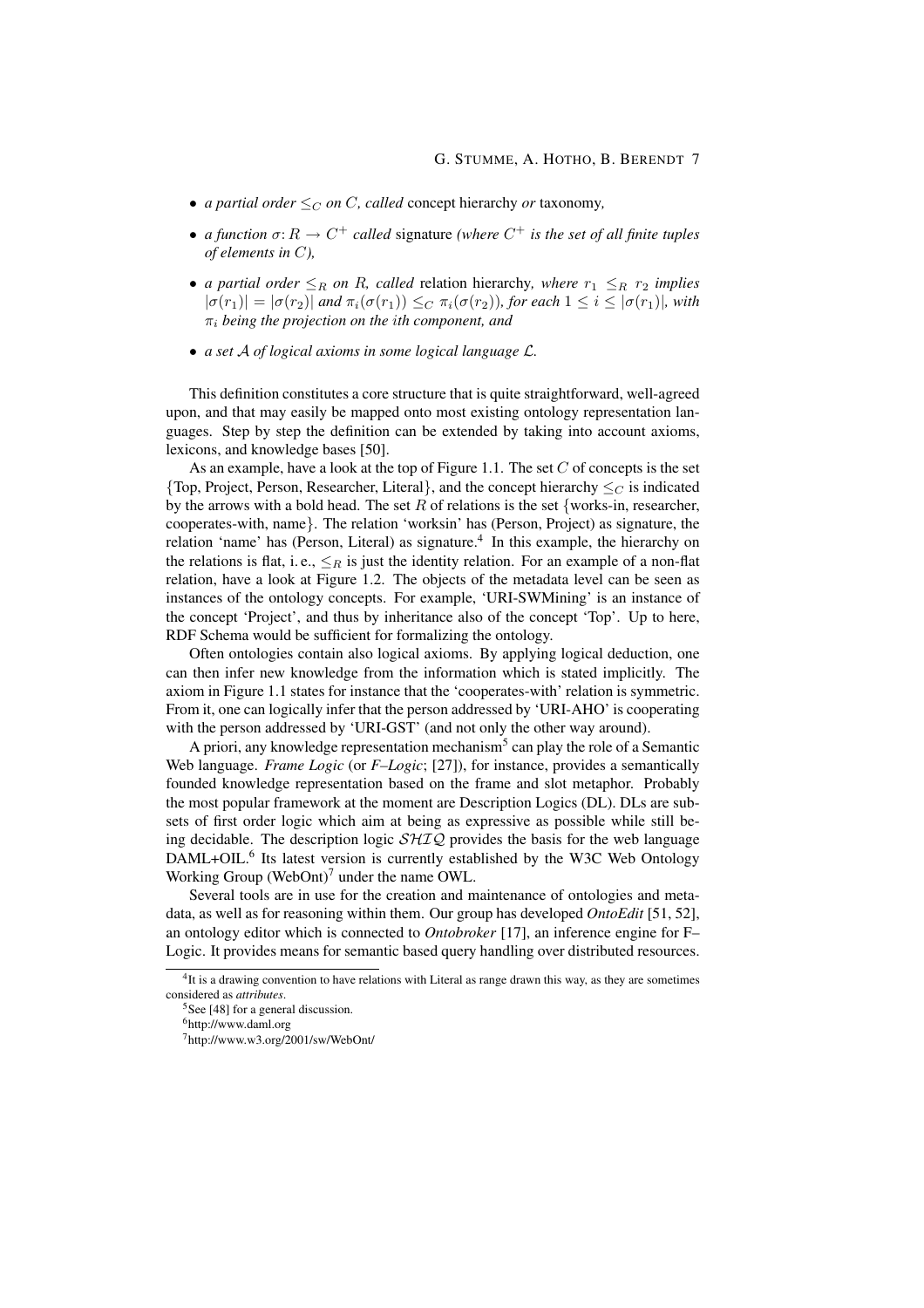- *a partial order*  $\leq_C$  *on C*, *called* concept hierarchy *or* taxonomy,
- *a function*  $\sigma: R \to C^+$  *called* signature *(where*  $C^+$  *is the set of all finite tuples of elements in* C*),*
- *a partial order*  $\leq_R$  *on R, called* relation hierarchy*, where*  $r_1 \leq_R r_2$  *implies*  $|\sigma(r_1)| = |\sigma(r_2)|$  and  $\pi_i(\sigma(r_1)) \leq_C \pi_i(\sigma(r_2))$ , for each  $1 \leq i \leq |\sigma(r_1)|$ , with π<sup>i</sup> *being the projection on the* i*th component, and*
- *a set* A *of logical axioms in some logical language* L*.*

This definition constitutes a core structure that is quite straightforward, well-agreed upon, and that may easily be mapped onto most existing ontology representation languages. Step by step the definition can be extended by taking into account axioms, lexicons, and knowledge bases [50].

As an example, have a look at the top of Figure 1.1. The set  $C$  of concepts is the set {Top, Project, Person, Researcher, Literal}, and the concept hierarchy  $\leq_C$  is indicated by the arrows with a bold head. The set R of relations is the set {works-in, researcher, cooperates-with, name}. The relation 'worksin' has (Person, Project) as signature, the relation 'name' has (Person, Literal) as signature.<sup>4</sup> In this example, the hierarchy on the relations is flat, i.e.,  $\leq_R$  is just the identity relation. For an example of a non-flat relation, have a look at Figure 1.2. The objects of the metadata level can be seen as instances of the ontology concepts. For example, 'URI-SWMining' is an instance of the concept 'Project', and thus by inheritance also of the concept 'Top'. Up to here, RDF Schema would be sufficient for formalizing the ontology.

Often ontologies contain also logical axioms. By applying logical deduction, one can then infer new knowledge from the information which is stated implicitly. The axiom in Figure 1.1 states for instance that the 'cooperates-with' relation is symmetric. From it, one can logically infer that the person addressed by 'URI-AHO' is cooperating with the person addressed by 'URI-GST' (and not only the other way around).

A priori, any knowledge representation mechanism<sup>5</sup> can play the role of a Semantic Web language. *Frame Logic* (or *F–Logic*; [27]), for instance, provides a semantically founded knowledge representation based on the frame and slot metaphor. Probably the most popular framework at the moment are Description Logics (DL). DLs are subsets of first order logic which aim at being as expressive as possible while still being decidable. The description logic  $\mathcal{SHIQ}$  provides the basis for the web language DAML+OIL.<sup>6</sup> Its latest version is currently established by the W3C Web Ontology Working Group (WebOnt)<sup>7</sup> under the name OWL.

Several tools are in use for the creation and maintenance of ontologies and metadata, as well as for reasoning within them. Our group has developed *OntoEdit* [51, 52], an ontology editor which is connected to *Ontobroker* [17], an inference engine for F– Logic. It provides means for semantic based query handling over distributed resources.

<sup>&</sup>lt;sup>4</sup>It is a drawing convention to have relations with Literal as range drawn this way, as they are sometimes considered as *attributes*.

 $5$ See [48] for a general discussion.

<sup>6</sup>http://www.daml.org

<sup>7</sup>http://www.w3.org/2001/sw/WebOnt/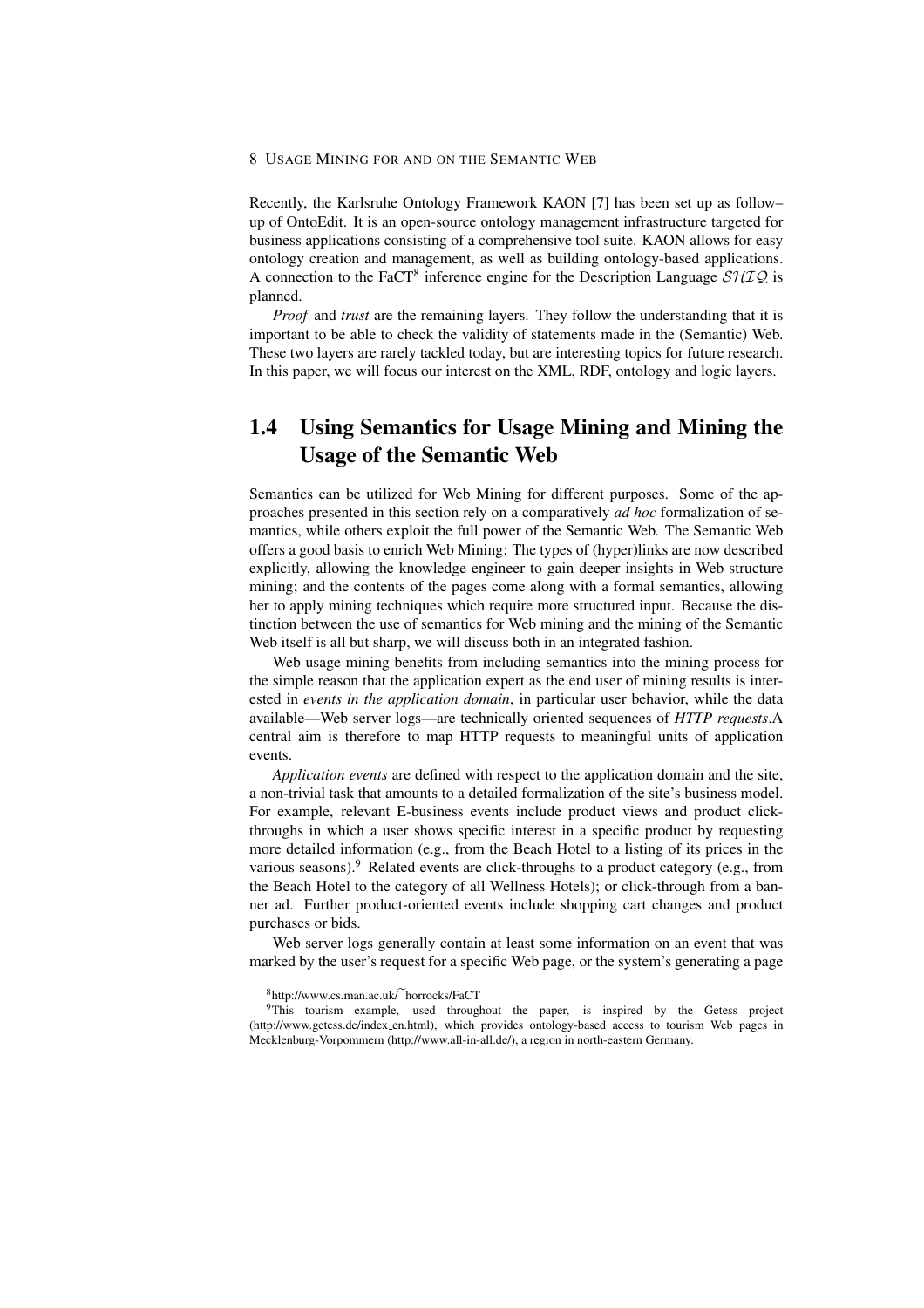Recently, the Karlsruhe Ontology Framework KAON [7] has been set up as follow– up of OntoEdit. It is an open-source ontology management infrastructure targeted for business applications consisting of a comprehensive tool suite. KAON allows for easy ontology creation and management, as well as building ontology-based applications. A connection to the FaCT<sup>8</sup> inference engine for the Description Language  $\mathcal{SHIQ}$  is planned.

*Proof* and *trust* are the remaining layers. They follow the understanding that it is important to be able to check the validity of statements made in the (Semantic) Web. These two layers are rarely tackled today, but are interesting topics for future research. In this paper, we will focus our interest on the XML, RDF, ontology and logic layers.

# 1.4 Using Semantics for Usage Mining and Mining the Usage of the Semantic Web

Semantics can be utilized for Web Mining for different purposes. Some of the approaches presented in this section rely on a comparatively *ad hoc* formalization of semantics, while others exploit the full power of the Semantic Web. The Semantic Web offers a good basis to enrich Web Mining: The types of (hyper)links are now described explicitly, allowing the knowledge engineer to gain deeper insights in Web structure mining; and the contents of the pages come along with a formal semantics, allowing her to apply mining techniques which require more structured input. Because the distinction between the use of semantics for Web mining and the mining of the Semantic Web itself is all but sharp, we will discuss both in an integrated fashion.

Web usage mining benefits from including semantics into the mining process for the simple reason that the application expert as the end user of mining results is interested in *events in the application domain*, in particular user behavior, while the data available—Web server logs—are technically oriented sequences of *HTTP requests*.A central aim is therefore to map HTTP requests to meaningful units of application events.

*Application events* are defined with respect to the application domain and the site, a non-trivial task that amounts to a detailed formalization of the site's business model. For example, relevant E-business events include product views and product clickthroughs in which a user shows specific interest in a specific product by requesting more detailed information (e.g., from the Beach Hotel to a listing of its prices in the various seasons).<sup>9</sup> Related events are click-throughs to a product category (e.g., from the Beach Hotel to the category of all Wellness Hotels); or click-through from a banner ad. Further product-oriented events include shopping cart changes and product purchases or bids.

Web server logs generally contain at least some information on an event that was marked by the user's request for a specific Web page, or the system's generating a page

 $8$ http://www.cs.man.ac.uk/ horrocks/FaCT

<sup>&</sup>lt;sup>9</sup>This tourism example, used throughout the paper, is inspired by the Getess project (http://www.getess.de/index en.html), which provides ontology-based access to tourism Web pages in Mecklenburg-Vorpommern (http://www.all-in-all.de/), a region in north-eastern Germany.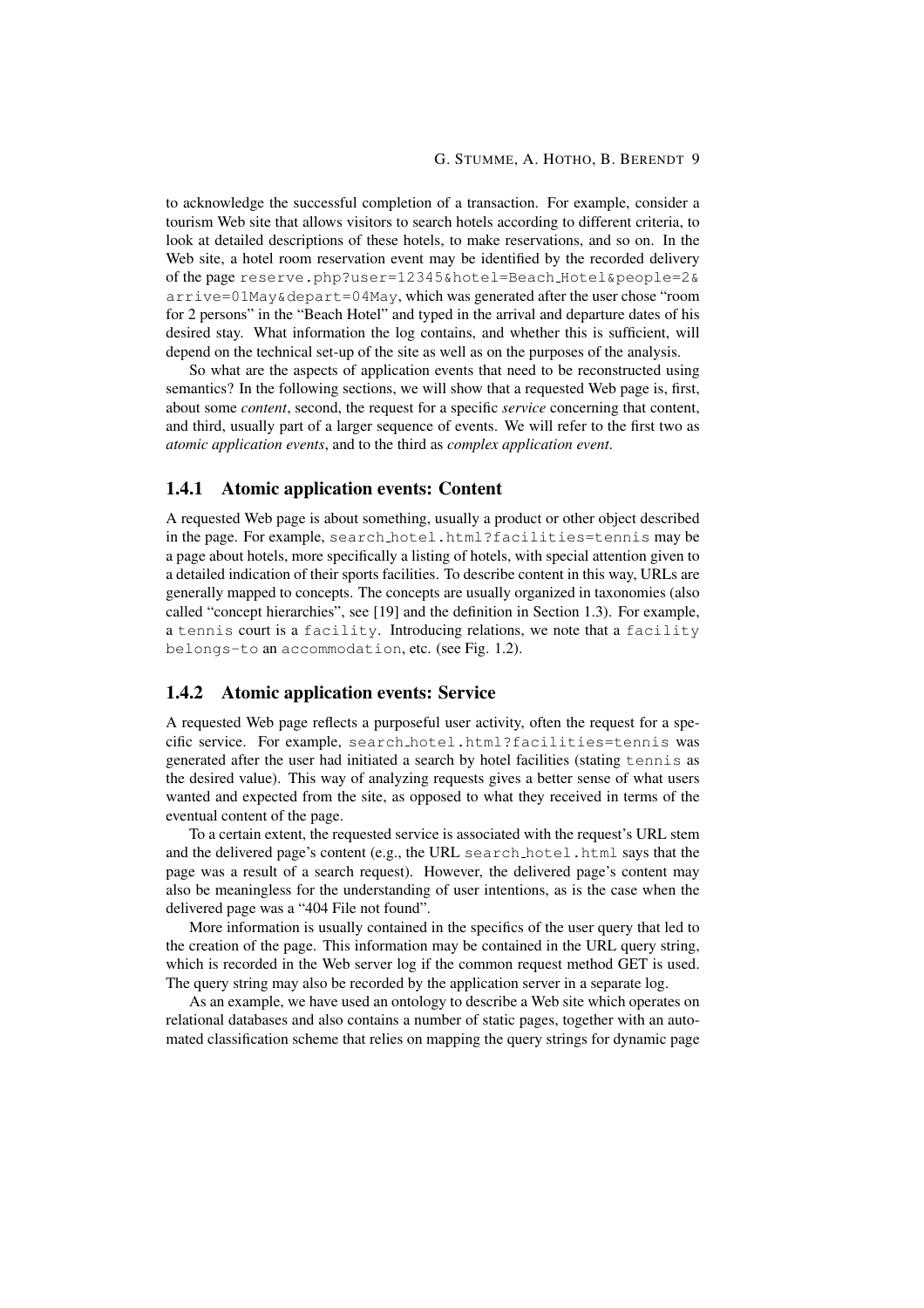to acknowledge the successful completion of a transaction. For example, consider a tourism Web site that allows visitors to search hotels according to different criteria, to look at detailed descriptions of these hotels, to make reservations, and so on. In the Web site, a hotel room reservation event may be identified by the recorded delivery of the page reserve.php?user=12345&hotel=Beach Hotel&people=2& arrive=01May&depart=04May, which was generated after the user chose "room for 2 persons" in the "Beach Hotel" and typed in the arrival and departure dates of his desired stay. What information the log contains, and whether this is sufficient, will depend on the technical set-up of the site as well as on the purposes of the analysis.

So what are the aspects of application events that need to be reconstructed using semantics? In the following sections, we will show that a requested Web page is, first, about some *content*, second, the request for a specific *service* concerning that content, and third, usually part of a larger sequence of events. We will refer to the first two as *atomic application events*, and to the third as *complex application event*.

## 1.4.1 Atomic application events: Content

A requested Web page is about something, usually a product or other object described in the page. For example, search hotel.html?facilities=tennis may be a page about hotels, more specifically a listing of hotels, with special attention given to a detailed indication of their sports facilities. To describe content in this way, URLs are generally mapped to concepts. The concepts are usually organized in taxonomies (also called "concept hierarchies", see [19] and the definition in Section 1.3). For example, a tennis court is a facility. Introducing relations, we note that a facility belongs-to an accommodation, etc. (see Fig. 1.2).

## 1.4.2 Atomic application events: Service

A requested Web page reflects a purposeful user activity, often the request for a specific service. For example, search hotel.html?facilities=tennis was generated after the user had initiated a search by hotel facilities (stating tennis as the desired value). This way of analyzing requests gives a better sense of what users wanted and expected from the site, as opposed to what they received in terms of the eventual content of the page.

To a certain extent, the requested service is associated with the request's URL stem and the delivered page's content (e.g., the URL search hotel.html says that the page was a result of a search request). However, the delivered page's content may also be meaningless for the understanding of user intentions, as is the case when the delivered page was a "404 File not found".

More information is usually contained in the specifics of the user query that led to the creation of the page. This information may be contained in the URL query string, which is recorded in the Web server log if the common request method GET is used. The query string may also be recorded by the application server in a separate log.

As an example, we have used an ontology to describe a Web site which operates on relational databases and also contains a number of static pages, together with an automated classification scheme that relies on mapping the query strings for dynamic page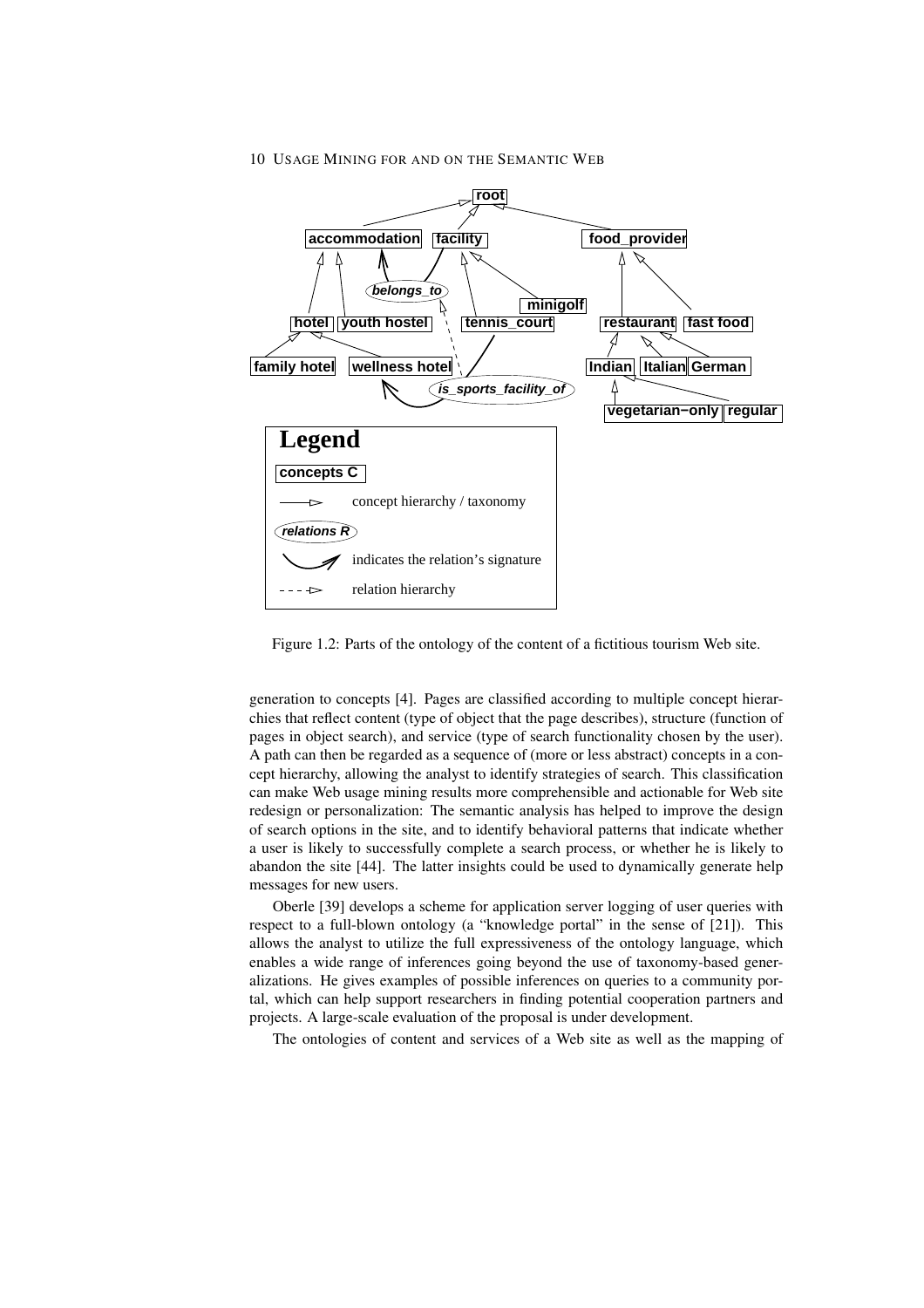

Figure 1.2: Parts of the ontology of the content of a fictitious tourism Web site.

generation to concepts [4]. Pages are classified according to multiple concept hierarchies that reflect content (type of object that the page describes), structure (function of pages in object search), and service (type of search functionality chosen by the user). A path can then be regarded as a sequence of (more or less abstract) concepts in a concept hierarchy, allowing the analyst to identify strategies of search. This classification can make Web usage mining results more comprehensible and actionable for Web site redesign or personalization: The semantic analysis has helped to improve the design of search options in the site, and to identify behavioral patterns that indicate whether a user is likely to successfully complete a search process, or whether he is likely to abandon the site [44]. The latter insights could be used to dynamically generate help messages for new users.

Oberle [39] develops a scheme for application server logging of user queries with respect to a full-blown ontology (a "knowledge portal" in the sense of [21]). This allows the analyst to utilize the full expressiveness of the ontology language, which enables a wide range of inferences going beyond the use of taxonomy-based generalizations. He gives examples of possible inferences on queries to a community portal, which can help support researchers in finding potential cooperation partners and projects. A large-scale evaluation of the proposal is under development.

The ontologies of content and services of a Web site as well as the mapping of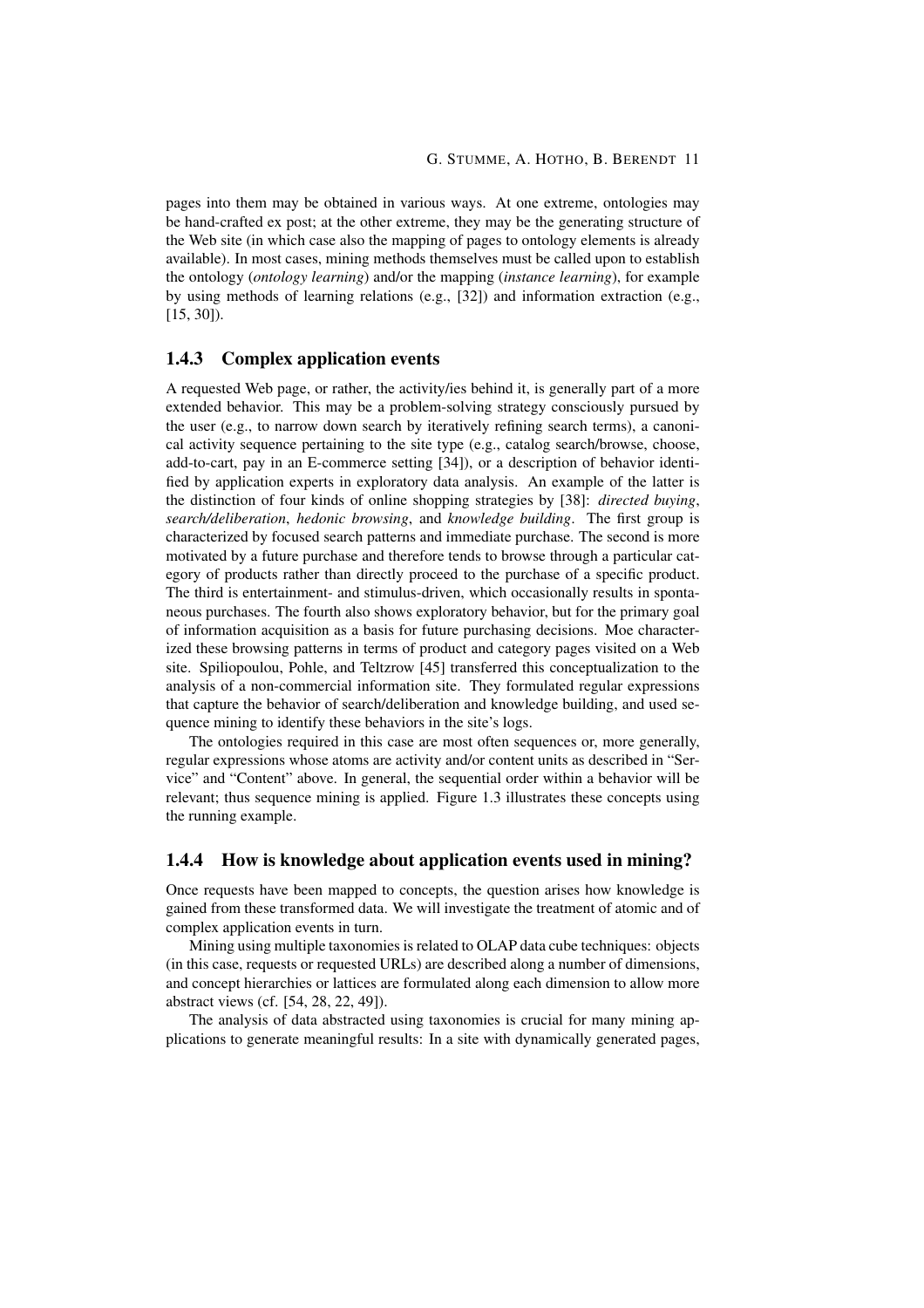pages into them may be obtained in various ways. At one extreme, ontologies may be hand-crafted ex post; at the other extreme, they may be the generating structure of the Web site (in which case also the mapping of pages to ontology elements is already available). In most cases, mining methods themselves must be called upon to establish the ontology (*ontology learning*) and/or the mapping (*instance learning*), for example by using methods of learning relations (e.g., [32]) and information extraction (e.g., [15, 30]).

## 1.4.3 Complex application events

A requested Web page, or rather, the activity/ies behind it, is generally part of a more extended behavior. This may be a problem-solving strategy consciously pursued by the user (e.g., to narrow down search by iteratively refining search terms), a canonical activity sequence pertaining to the site type (e.g., catalog search/browse, choose, add-to-cart, pay in an E-commerce setting [34]), or a description of behavior identified by application experts in exploratory data analysis. An example of the latter is the distinction of four kinds of online shopping strategies by [38]: *directed buying*, *search/deliberation*, *hedonic browsing*, and *knowledge building*. The first group is characterized by focused search patterns and immediate purchase. The second is more motivated by a future purchase and therefore tends to browse through a particular category of products rather than directly proceed to the purchase of a specific product. The third is entertainment- and stimulus-driven, which occasionally results in spontaneous purchases. The fourth also shows exploratory behavior, but for the primary goal of information acquisition as a basis for future purchasing decisions. Moe characterized these browsing patterns in terms of product and category pages visited on a Web site. Spiliopoulou, Pohle, and Teltzrow [45] transferred this conceptualization to the analysis of a non-commercial information site. They formulated regular expressions that capture the behavior of search/deliberation and knowledge building, and used sequence mining to identify these behaviors in the site's logs.

The ontologies required in this case are most often sequences or, more generally, regular expressions whose atoms are activity and/or content units as described in "Service" and "Content" above. In general, the sequential order within a behavior will be relevant; thus sequence mining is applied. Figure 1.3 illustrates these concepts using the running example.

## 1.4.4 How is knowledge about application events used in mining?

Once requests have been mapped to concepts, the question arises how knowledge is gained from these transformed data. We will investigate the treatment of atomic and of complex application events in turn.

Mining using multiple taxonomies is related to OLAP data cube techniques: objects (in this case, requests or requested URLs) are described along a number of dimensions, and concept hierarchies or lattices are formulated along each dimension to allow more abstract views (cf. [54, 28, 22, 49]).

The analysis of data abstracted using taxonomies is crucial for many mining applications to generate meaningful results: In a site with dynamically generated pages,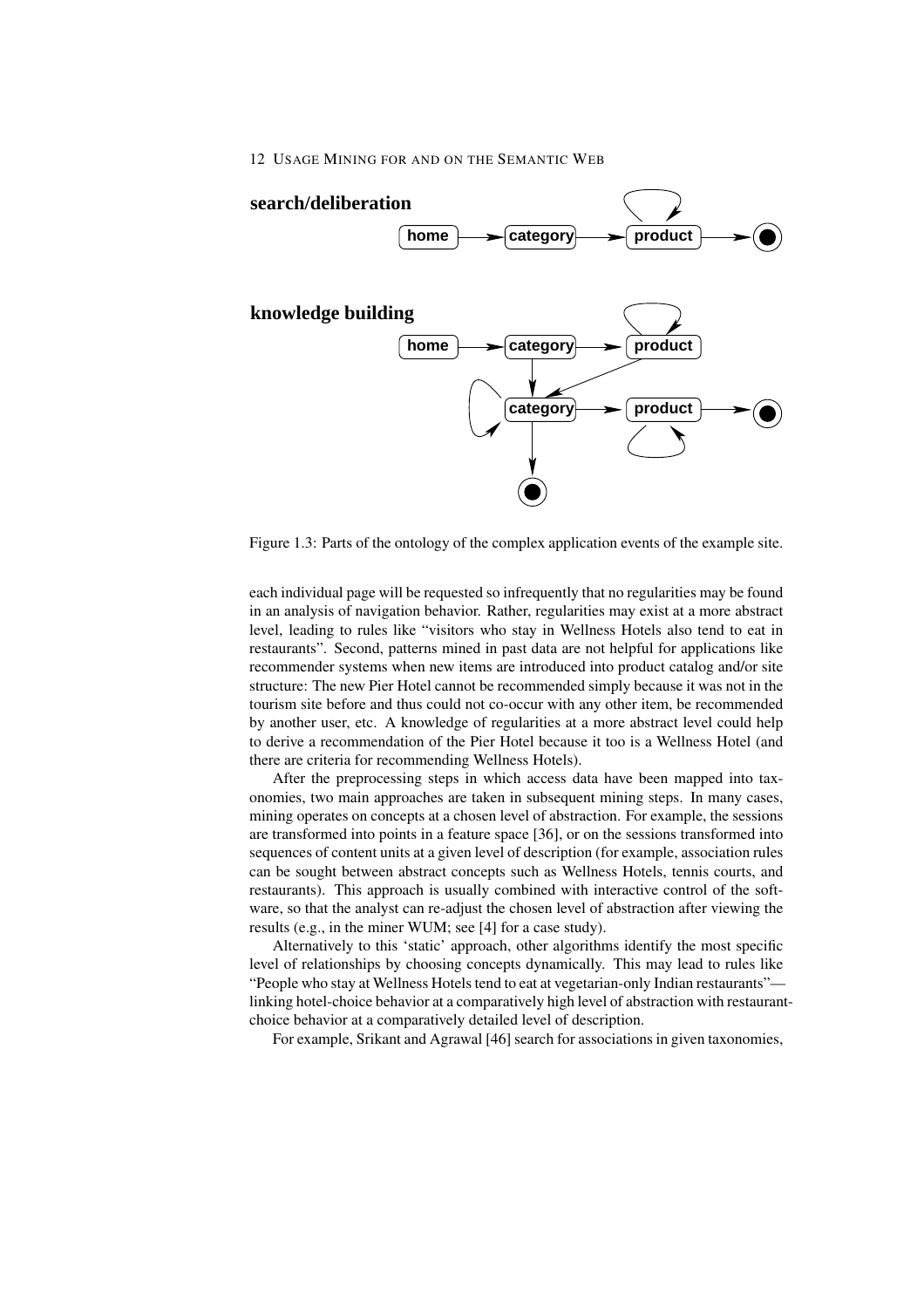

Figure 1.3: Parts of the ontology of the complex application events of the example site.

each individual page will be requested so infrequently that no regularities may be found in an analysis of navigation behavior. Rather, regularities may exist at a more abstract level, leading to rules like "visitors who stay in Wellness Hotels also tend to eat in restaurants". Second, patterns mined in past data are not helpful for applications like recommender systems when new items are introduced into product catalog and/or site structure: The new Pier Hotel cannot be recommended simply because it was not in the tourism site before and thus could not co-occur with any other item, be recommended by another user, etc. A knowledge of regularities at a more abstract level could help to derive a recommendation of the Pier Hotel because it too is a Wellness Hotel (and there are criteria for recommending Wellness Hotels).

After the preprocessing steps in which access data have been mapped into taxonomies, two main approaches are taken in subsequent mining steps. In many cases, mining operates on concepts at a chosen level of abstraction. For example, the sessions are transformed into points in a feature space [36], or on the sessions transformed into sequences of content units at a given level of description (for example, association rules can be sought between abstract concepts such as Wellness Hotels, tennis courts, and restaurants). This approach is usually combined with interactive control of the software, so that the analyst can re-adjust the chosen level of abstraction after viewing the results (e.g., in the miner WUM; see [4] for a case study).

Alternatively to this 'static' approach, other algorithms identify the most specific level of relationships by choosing concepts dynamically. This may lead to rules like "People who stay at Wellness Hotels tend to eat at vegetarian-only Indian restaurants" linking hotel-choice behavior at a comparatively high level of abstraction with restaurantchoice behavior at a comparatively detailed level of description.

For example, Srikant and Agrawal [46] search for associations in given taxonomies,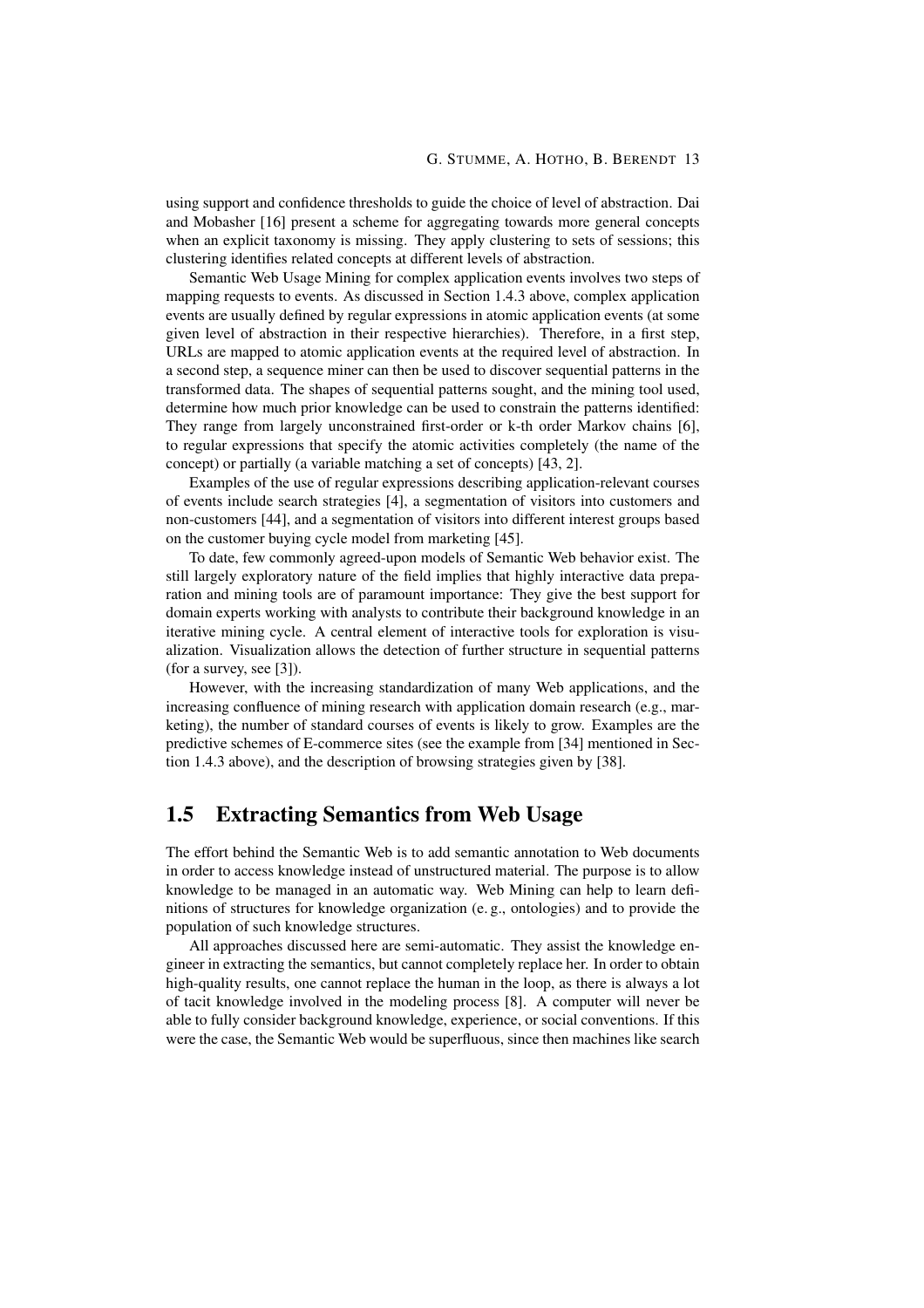using support and confidence thresholds to guide the choice of level of abstraction. Dai and Mobasher [16] present a scheme for aggregating towards more general concepts when an explicit taxonomy is missing. They apply clustering to sets of sessions; this clustering identifies related concepts at different levels of abstraction.

Semantic Web Usage Mining for complex application events involves two steps of mapping requests to events. As discussed in Section 1.4.3 above, complex application events are usually defined by regular expressions in atomic application events (at some given level of abstraction in their respective hierarchies). Therefore, in a first step, URLs are mapped to atomic application events at the required level of abstraction. In a second step, a sequence miner can then be used to discover sequential patterns in the transformed data. The shapes of sequential patterns sought, and the mining tool used, determine how much prior knowledge can be used to constrain the patterns identified: They range from largely unconstrained first-order or k-th order Markov chains [6], to regular expressions that specify the atomic activities completely (the name of the concept) or partially (a variable matching a set of concepts) [43, 2].

Examples of the use of regular expressions describing application-relevant courses of events include search strategies [4], a segmentation of visitors into customers and non-customers [44], and a segmentation of visitors into different interest groups based on the customer buying cycle model from marketing [45].

To date, few commonly agreed-upon models of Semantic Web behavior exist. The still largely exploratory nature of the field implies that highly interactive data preparation and mining tools are of paramount importance: They give the best support for domain experts working with analysts to contribute their background knowledge in an iterative mining cycle. A central element of interactive tools for exploration is visualization. Visualization allows the detection of further structure in sequential patterns (for a survey, see [3]).

However, with the increasing standardization of many Web applications, and the increasing confluence of mining research with application domain research (e.g., marketing), the number of standard courses of events is likely to grow. Examples are the predictive schemes of E-commerce sites (see the example from [34] mentioned in Section 1.4.3 above), and the description of browsing strategies given by [38].

# 1.5 Extracting Semantics from Web Usage

The effort behind the Semantic Web is to add semantic annotation to Web documents in order to access knowledge instead of unstructured material. The purpose is to allow knowledge to be managed in an automatic way. Web Mining can help to learn definitions of structures for knowledge organization (e. g., ontologies) and to provide the population of such knowledge structures.

All approaches discussed here are semi-automatic. They assist the knowledge engineer in extracting the semantics, but cannot completely replace her. In order to obtain high-quality results, one cannot replace the human in the loop, as there is always a lot of tacit knowledge involved in the modeling process [8]. A computer will never be able to fully consider background knowledge, experience, or social conventions. If this were the case, the Semantic Web would be superfluous, since then machines like search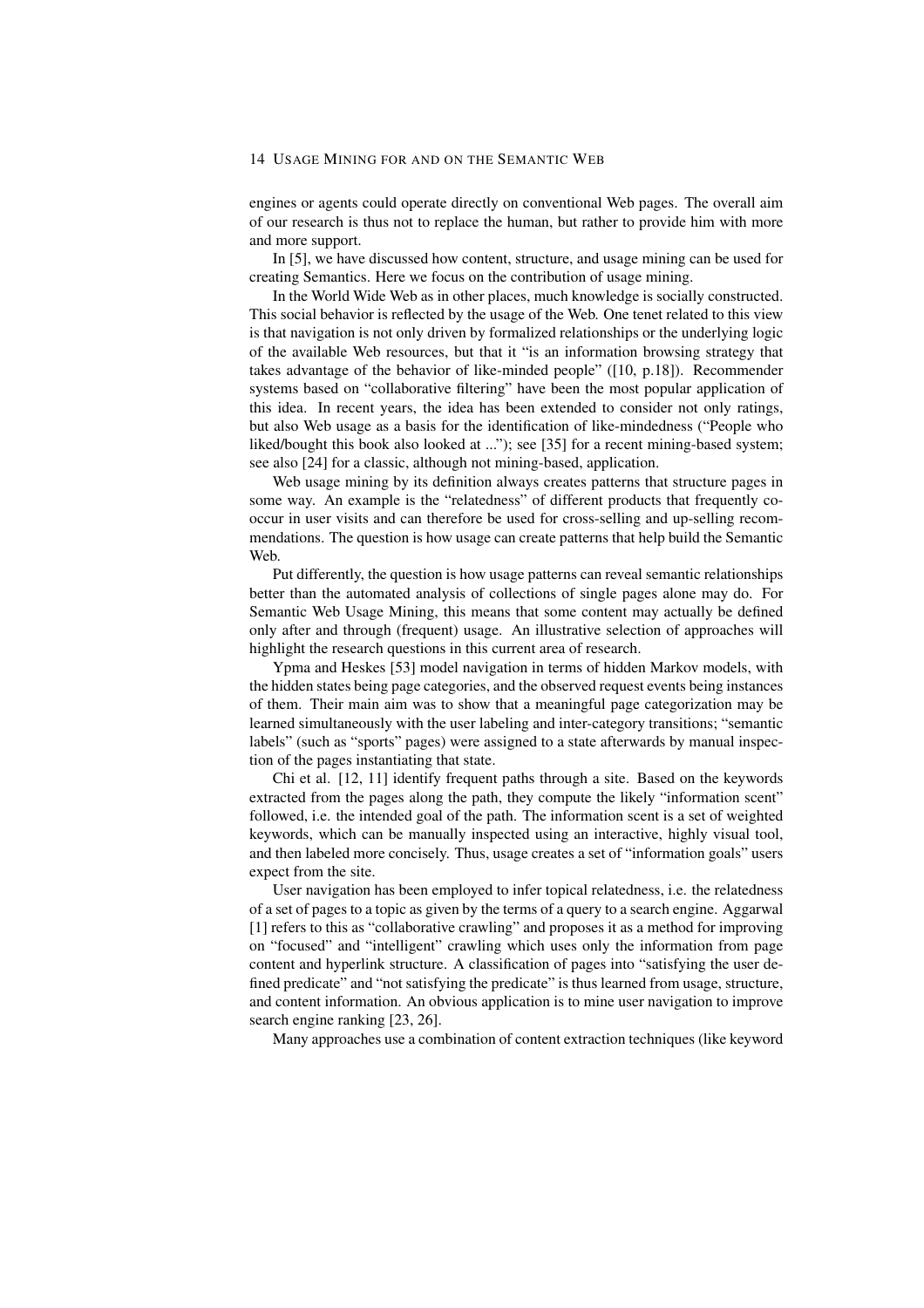engines or agents could operate directly on conventional Web pages. The overall aim of our research is thus not to replace the human, but rather to provide him with more and more support.

In [5], we have discussed how content, structure, and usage mining can be used for creating Semantics. Here we focus on the contribution of usage mining.

In the World Wide Web as in other places, much knowledge is socially constructed. This social behavior is reflected by the usage of the Web. One tenet related to this view is that navigation is not only driven by formalized relationships or the underlying logic of the available Web resources, but that it "is an information browsing strategy that takes advantage of the behavior of like-minded people" ([10, p.18]). Recommender systems based on "collaborative filtering" have been the most popular application of this idea. In recent years, the idea has been extended to consider not only ratings, but also Web usage as a basis for the identification of like-mindedness ("People who liked/bought this book also looked at ..."); see [35] for a recent mining-based system; see also [24] for a classic, although not mining-based, application.

Web usage mining by its definition always creates patterns that structure pages in some way. An example is the "relatedness" of different products that frequently cooccur in user visits and can therefore be used for cross-selling and up-selling recommendations. The question is how usage can create patterns that help build the Semantic Web.

Put differently, the question is how usage patterns can reveal semantic relationships better than the automated analysis of collections of single pages alone may do. For Semantic Web Usage Mining, this means that some content may actually be defined only after and through (frequent) usage. An illustrative selection of approaches will highlight the research questions in this current area of research.

Ypma and Heskes [53] model navigation in terms of hidden Markov models, with the hidden states being page categories, and the observed request events being instances of them. Their main aim was to show that a meaningful page categorization may be learned simultaneously with the user labeling and inter-category transitions; "semantic labels" (such as "sports" pages) were assigned to a state afterwards by manual inspection of the pages instantiating that state.

Chi et al. [12, 11] identify frequent paths through a site. Based on the keywords extracted from the pages along the path, they compute the likely "information scent" followed, i.e. the intended goal of the path. The information scent is a set of weighted keywords, which can be manually inspected using an interactive, highly visual tool, and then labeled more concisely. Thus, usage creates a set of "information goals" users expect from the site.

User navigation has been employed to infer topical relatedness, i.e. the relatedness of a set of pages to a topic as given by the terms of a query to a search engine. Aggarwal [1] refers to this as "collaborative crawling" and proposes it as a method for improving on "focused" and "intelligent" crawling which uses only the information from page content and hyperlink structure. A classification of pages into "satisfying the user defined predicate" and "not satisfying the predicate" is thus learned from usage, structure, and content information. An obvious application is to mine user navigation to improve search engine ranking [23, 26].

Many approaches use a combination of content extraction techniques (like keyword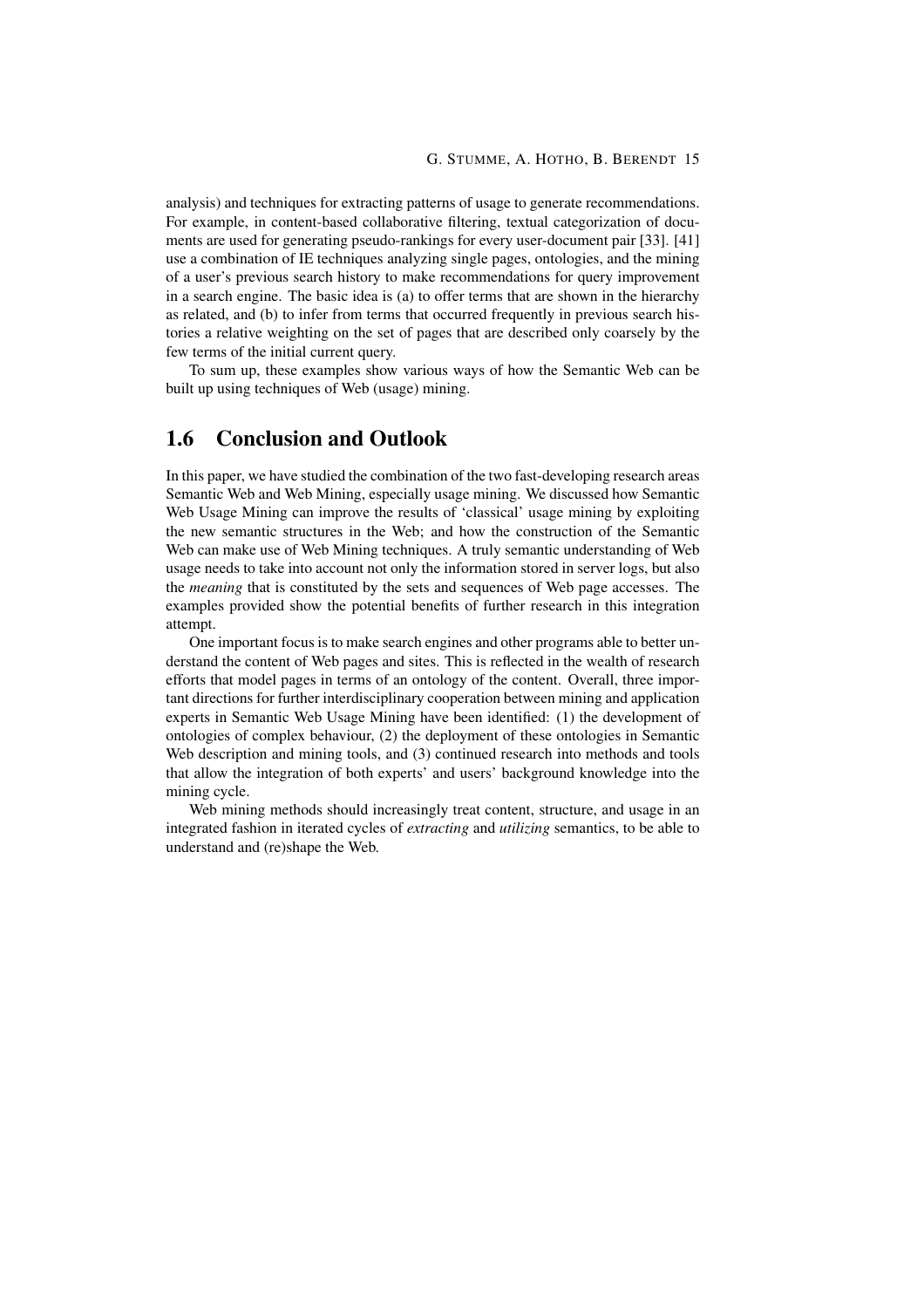analysis) and techniques for extracting patterns of usage to generate recommendations. For example, in content-based collaborative filtering, textual categorization of documents are used for generating pseudo-rankings for every user-document pair [33]. [41] use a combination of IE techniques analyzing single pages, ontologies, and the mining of a user's previous search history to make recommendations for query improvement in a search engine. The basic idea is (a) to offer terms that are shown in the hierarchy as related, and (b) to infer from terms that occurred frequently in previous search histories a relative weighting on the set of pages that are described only coarsely by the few terms of the initial current query.

To sum up, these examples show various ways of how the Semantic Web can be built up using techniques of Web (usage) mining.

# 1.6 Conclusion and Outlook

In this paper, we have studied the combination of the two fast-developing research areas Semantic Web and Web Mining, especially usage mining. We discussed how Semantic Web Usage Mining can improve the results of 'classical' usage mining by exploiting the new semantic structures in the Web; and how the construction of the Semantic Web can make use of Web Mining techniques. A truly semantic understanding of Web usage needs to take into account not only the information stored in server logs, but also the *meaning* that is constituted by the sets and sequences of Web page accesses. The examples provided show the potential benefits of further research in this integration attempt.

One important focus is to make search engines and other programs able to better understand the content of Web pages and sites. This is reflected in the wealth of research efforts that model pages in terms of an ontology of the content. Overall, three important directions for further interdisciplinary cooperation between mining and application experts in Semantic Web Usage Mining have been identified: (1) the development of ontologies of complex behaviour, (2) the deployment of these ontologies in Semantic Web description and mining tools, and (3) continued research into methods and tools that allow the integration of both experts' and users' background knowledge into the mining cycle.

Web mining methods should increasingly treat content, structure, and usage in an integrated fashion in iterated cycles of *extracting* and *utilizing* semantics, to be able to understand and (re)shape the Web.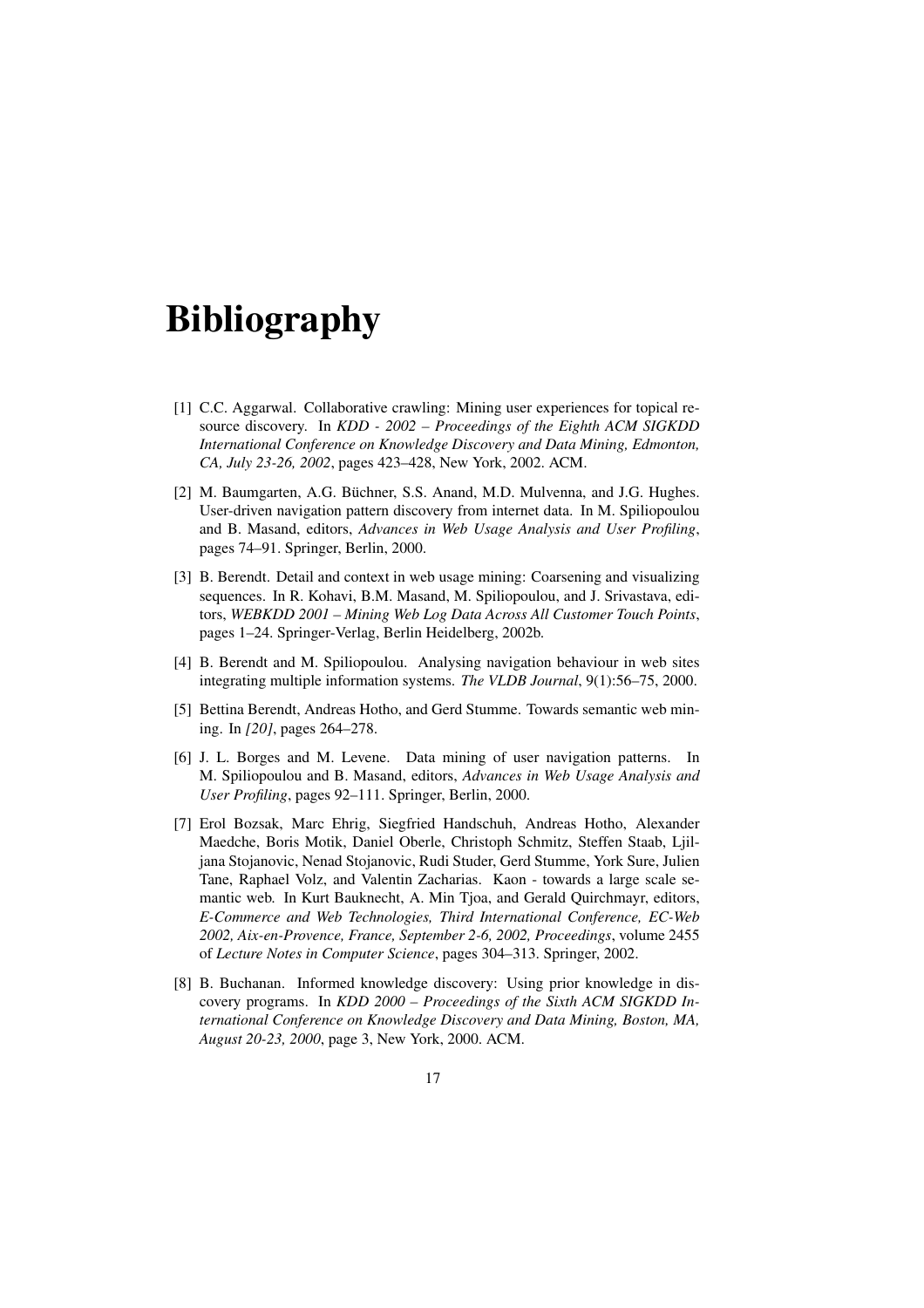# **Bibliography**

- [1] C.C. Aggarwal. Collaborative crawling: Mining user experiences for topical resource discovery. In *KDD - 2002 – Proceedings of the Eighth ACM SIGKDD International Conference on Knowledge Discovery and Data Mining, Edmonton, CA, July 23-26, 2002*, pages 423–428, New York, 2002. ACM.
- [2] M. Baumgarten, A.G. Büchner, S.S. Anand, M.D. Mulvenna, and J.G. Hughes. User-driven navigation pattern discovery from internet data. In M. Spiliopoulou and B. Masand, editors, *Advances in Web Usage Analysis and User Profiling*, pages 74–91. Springer, Berlin, 2000.
- [3] B. Berendt. Detail and context in web usage mining: Coarsening and visualizing sequences. In R. Kohavi, B.M. Masand, M. Spiliopoulou, and J. Srivastava, editors, *WEBKDD 2001 – Mining Web Log Data Across All Customer Touch Points*, pages 1–24. Springer-Verlag, Berlin Heidelberg, 2002b.
- [4] B. Berendt and M. Spiliopoulou. Analysing navigation behaviour in web sites integrating multiple information systems. *The VLDB Journal*, 9(1):56–75, 2000.
- [5] Bettina Berendt, Andreas Hotho, and Gerd Stumme. Towards semantic web mining. In *[20]*, pages 264–278.
- [6] J. L. Borges and M. Levene. Data mining of user navigation patterns. In M. Spiliopoulou and B. Masand, editors, *Advances in Web Usage Analysis and User Profiling*, pages 92–111. Springer, Berlin, 2000.
- [7] Erol Bozsak, Marc Ehrig, Siegfried Handschuh, Andreas Hotho, Alexander Maedche, Boris Motik, Daniel Oberle, Christoph Schmitz, Steffen Staab, Ljiljana Stojanovic, Nenad Stojanovic, Rudi Studer, Gerd Stumme, York Sure, Julien Tane, Raphael Volz, and Valentin Zacharias. Kaon - towards a large scale semantic web. In Kurt Bauknecht, A. Min Tjoa, and Gerald Quirchmayr, editors, *E-Commerce and Web Technologies, Third International Conference, EC-Web 2002, Aix-en-Provence, France, September 2-6, 2002, Proceedings*, volume 2455 of *Lecture Notes in Computer Science*, pages 304–313. Springer, 2002.
- [8] B. Buchanan. Informed knowledge discovery: Using prior knowledge in discovery programs. In *KDD 2000 – Proceedings of the Sixth ACM SIGKDD International Conference on Knowledge Discovery and Data Mining, Boston, MA, August 20-23, 2000*, page 3, New York, 2000. ACM.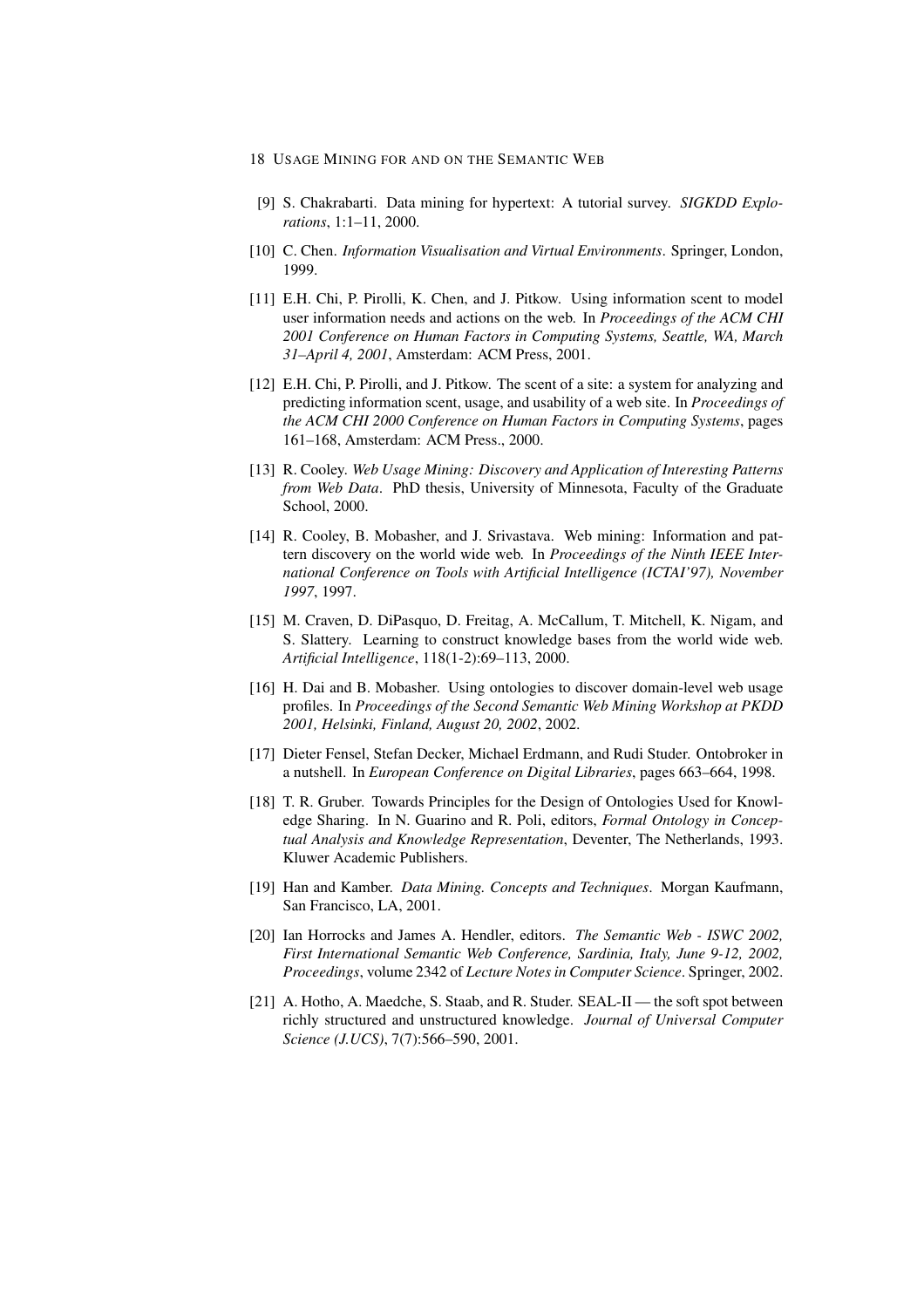- 18 USAGE MINING FOR AND ON THE SEMANTIC WEB
- [9] S. Chakrabarti. Data mining for hypertext: A tutorial survey. *SIGKDD Explorations*, 1:1–11, 2000.
- [10] C. Chen. *Information Visualisation and Virtual Environments*. Springer, London, 1999.
- [11] E.H. Chi, P. Pirolli, K. Chen, and J. Pitkow. Using information scent to model user information needs and actions on the web. In *Proceedings of the ACM CHI 2001 Conference on Human Factors in Computing Systems, Seattle, WA, March 31–April 4, 2001*, Amsterdam: ACM Press, 2001.
- [12] E.H. Chi, P. Pirolli, and J. Pitkow. The scent of a site: a system for analyzing and predicting information scent, usage, and usability of a web site. In *Proceedings of the ACM CHI 2000 Conference on Human Factors in Computing Systems*, pages 161–168, Amsterdam: ACM Press., 2000.
- [13] R. Cooley. *Web Usage Mining: Discovery and Application of Interesting Patterns from Web Data*. PhD thesis, University of Minnesota, Faculty of the Graduate School, 2000.
- [14] R. Cooley, B. Mobasher, and J. Srivastava. Web mining: Information and pattern discovery on the world wide web. In *Proceedings of the Ninth IEEE International Conference on Tools with Artificial Intelligence (ICTAI'97), November 1997*, 1997.
- [15] M. Craven, D. DiPasquo, D. Freitag, A. McCallum, T. Mitchell, K. Nigam, and S. Slattery. Learning to construct knowledge bases from the world wide web. *Artificial Intelligence*, 118(1-2):69–113, 2000.
- [16] H. Dai and B. Mobasher. Using ontologies to discover domain-level web usage profiles. In *Proceedings of the Second Semantic Web Mining Workshop at PKDD 2001, Helsinki, Finland, August 20, 2002*, 2002.
- [17] Dieter Fensel, Stefan Decker, Michael Erdmann, and Rudi Studer. Ontobroker in a nutshell. In *European Conference on Digital Libraries*, pages 663–664, 1998.
- [18] T. R. Gruber. Towards Principles for the Design of Ontologies Used for Knowledge Sharing. In N. Guarino and R. Poli, editors, *Formal Ontology in Conceptual Analysis and Knowledge Representation*, Deventer, The Netherlands, 1993. Kluwer Academic Publishers.
- [19] Han and Kamber. *Data Mining. Concepts and Techniques*. Morgan Kaufmann, San Francisco, LA, 2001.
- [20] Ian Horrocks and James A. Hendler, editors. *The Semantic Web ISWC 2002, First International Semantic Web Conference, Sardinia, Italy, June 9-12, 2002, Proceedings*, volume 2342 of *Lecture Notes in Computer Science*. Springer, 2002.
- [21] A. Hotho, A. Maedche, S. Staab, and R. Studer. SEAL-II the soft spot between richly structured and unstructured knowledge. *Journal of Universal Computer Science (J.UCS)*, 7(7):566–590, 2001.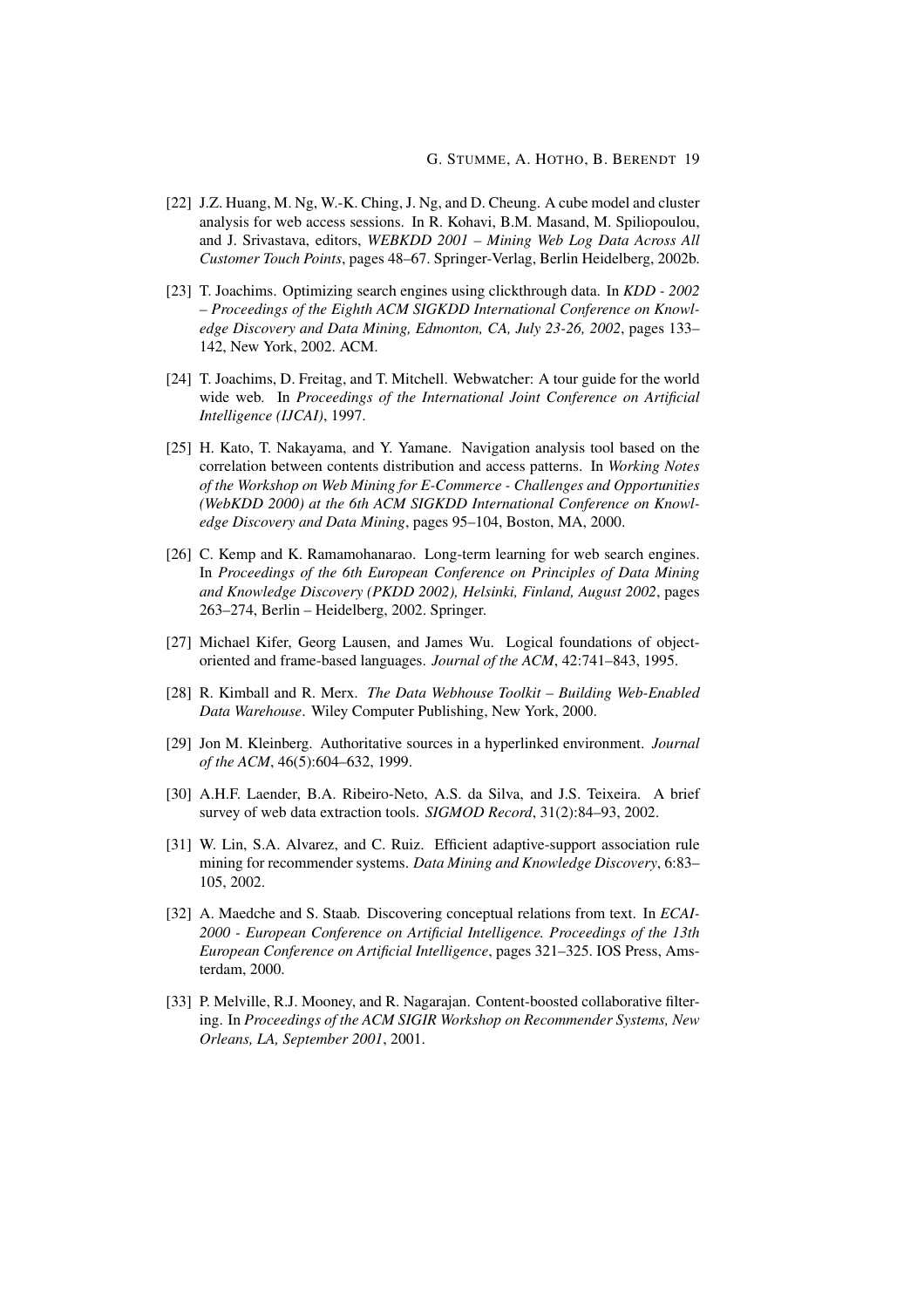- [22] J.Z. Huang, M. Ng, W.-K. Ching, J. Ng, and D. Cheung. A cube model and cluster analysis for web access sessions. In R. Kohavi, B.M. Masand, M. Spiliopoulou, and J. Srivastava, editors, *WEBKDD 2001 – Mining Web Log Data Across All Customer Touch Points*, pages 48–67. Springer-Verlag, Berlin Heidelberg, 2002b.
- [23] T. Joachims. Optimizing search engines using clickthrough data. In *KDD 2002 – Proceedings of the Eighth ACM SIGKDD International Conference on Knowledge Discovery and Data Mining, Edmonton, CA, July 23-26, 2002*, pages 133– 142, New York, 2002. ACM.
- [24] T. Joachims, D. Freitag, and T. Mitchell. Webwatcher: A tour guide for the world wide web. In *Proceedings of the International Joint Conference on Artificial Intelligence (IJCAI)*, 1997.
- [25] H. Kato, T. Nakayama, and Y. Yamane. Navigation analysis tool based on the correlation between contents distribution and access patterns. In *Working Notes of the Workshop on Web Mining for E-Commerce - Challenges and Opportunities (WebKDD 2000) at the 6th ACM SIGKDD International Conference on Knowledge Discovery and Data Mining*, pages 95–104, Boston, MA, 2000.
- [26] C. Kemp and K. Ramamohanarao. Long-term learning for web search engines. In *Proceedings of the 6th European Conference on Principles of Data Mining and Knowledge Discovery (PKDD 2002), Helsinki, Finland, August 2002*, pages 263–274, Berlin – Heidelberg, 2002. Springer.
- [27] Michael Kifer, Georg Lausen, and James Wu. Logical foundations of objectoriented and frame-based languages. *Journal of the ACM*, 42:741–843, 1995.
- [28] R. Kimball and R. Merx. *The Data Webhouse Toolkit Building Web-Enabled Data Warehouse*. Wiley Computer Publishing, New York, 2000.
- [29] Jon M. Kleinberg. Authoritative sources in a hyperlinked environment. *Journal of the ACM*, 46(5):604–632, 1999.
- [30] A.H.F. Laender, B.A. Ribeiro-Neto, A.S. da Silva, and J.S. Teixeira. A brief survey of web data extraction tools. *SIGMOD Record*, 31(2):84–93, 2002.
- [31] W. Lin, S.A. Alvarez, and C. Ruiz. Efficient adaptive-support association rule mining for recommender systems. *Data Mining and Knowledge Discovery*, 6:83– 105, 2002.
- [32] A. Maedche and S. Staab. Discovering conceptual relations from text. In *ECAI-2000 - European Conference on Artificial Intelligence. Proceedings of the 13th European Conference on Artificial Intelligence*, pages 321–325. IOS Press, Amsterdam, 2000.
- [33] P. Melville, R.J. Mooney, and R. Nagarajan. Content-boosted collaborative filtering. In *Proceedings of the ACM SIGIR Workshop on Recommender Systems, New Orleans, LA, September 2001*, 2001.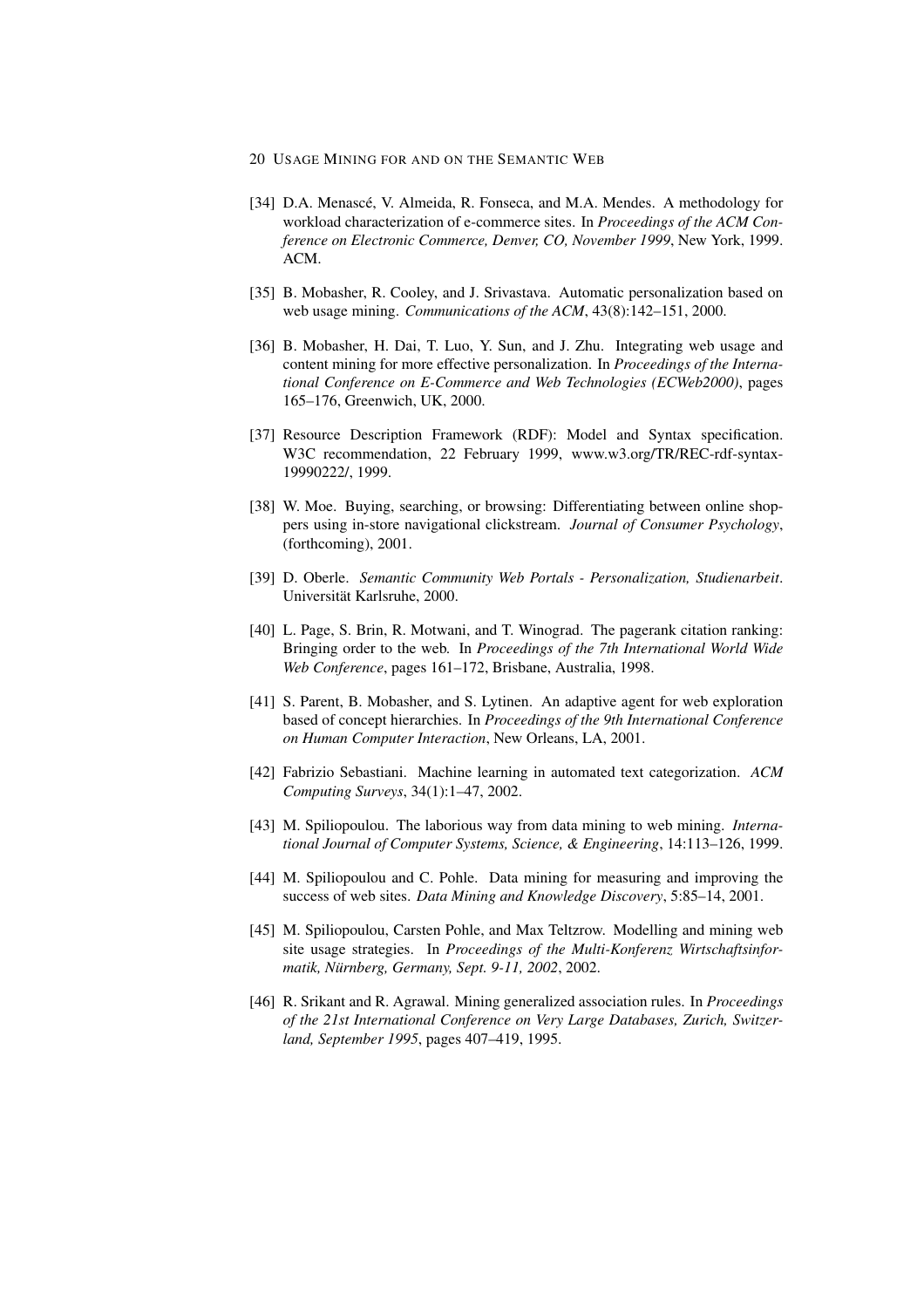- 20 USAGE MINING FOR AND ON THE SEMANTIC WEB
- [34] D.A. Menascé, V. Almeida, R. Fonseca, and M.A. Mendes. A methodology for workload characterization of e-commerce sites. In *Proceedings of the ACM Conference on Electronic Commerce, Denver, CO, November 1999*, New York, 1999. ACM.
- [35] B. Mobasher, R. Cooley, and J. Srivastava. Automatic personalization based on web usage mining. *Communications of the ACM*, 43(8):142–151, 2000.
- [36] B. Mobasher, H. Dai, T. Luo, Y. Sun, and J. Zhu. Integrating web usage and content mining for more effective personalization. In *Proceedings of the International Conference on E-Commerce and Web Technologies (ECWeb2000)*, pages 165–176, Greenwich, UK, 2000.
- [37] Resource Description Framework (RDF): Model and Syntax specification. W3C recommendation, 22 February 1999, www.w3.org/TR/REC-rdf-syntax-19990222/, 1999.
- [38] W. Moe. Buying, searching, or browsing: Differentiating between online shoppers using in-store navigational clickstream. *Journal of Consumer Psychology*, (forthcoming), 2001.
- [39] D. Oberle. *Semantic Community Web Portals Personalization, Studienarbeit*. Universität Karlsruhe, 2000.
- [40] L. Page, S. Brin, R. Motwani, and T. Winograd. The pagerank citation ranking: Bringing order to the web. In *Proceedings of the 7th International World Wide Web Conference*, pages 161–172, Brisbane, Australia, 1998.
- [41] S. Parent, B. Mobasher, and S. Lytinen. An adaptive agent for web exploration based of concept hierarchies. In *Proceedings of the 9th International Conference on Human Computer Interaction*, New Orleans, LA, 2001.
- [42] Fabrizio Sebastiani. Machine learning in automated text categorization. *ACM Computing Surveys*, 34(1):1–47, 2002.
- [43] M. Spiliopoulou. The laborious way from data mining to web mining. *International Journal of Computer Systems, Science, & Engineering*, 14:113–126, 1999.
- [44] M. Spiliopoulou and C. Pohle. Data mining for measuring and improving the success of web sites. *Data Mining and Knowledge Discovery*, 5:85–14, 2001.
- [45] M. Spiliopoulou, Carsten Pohle, and Max Teltzrow. Modelling and mining web site usage strategies. In *Proceedings of the Multi-Konferenz Wirtschaftsinformatik, Nürnberg, Germany, Sept. 9-11, 2002, 2002.*
- [46] R. Srikant and R. Agrawal. Mining generalized association rules. In *Proceedings of the 21st International Conference on Very Large Databases, Zurich, Switzerland, September 1995*, pages 407–419, 1995.